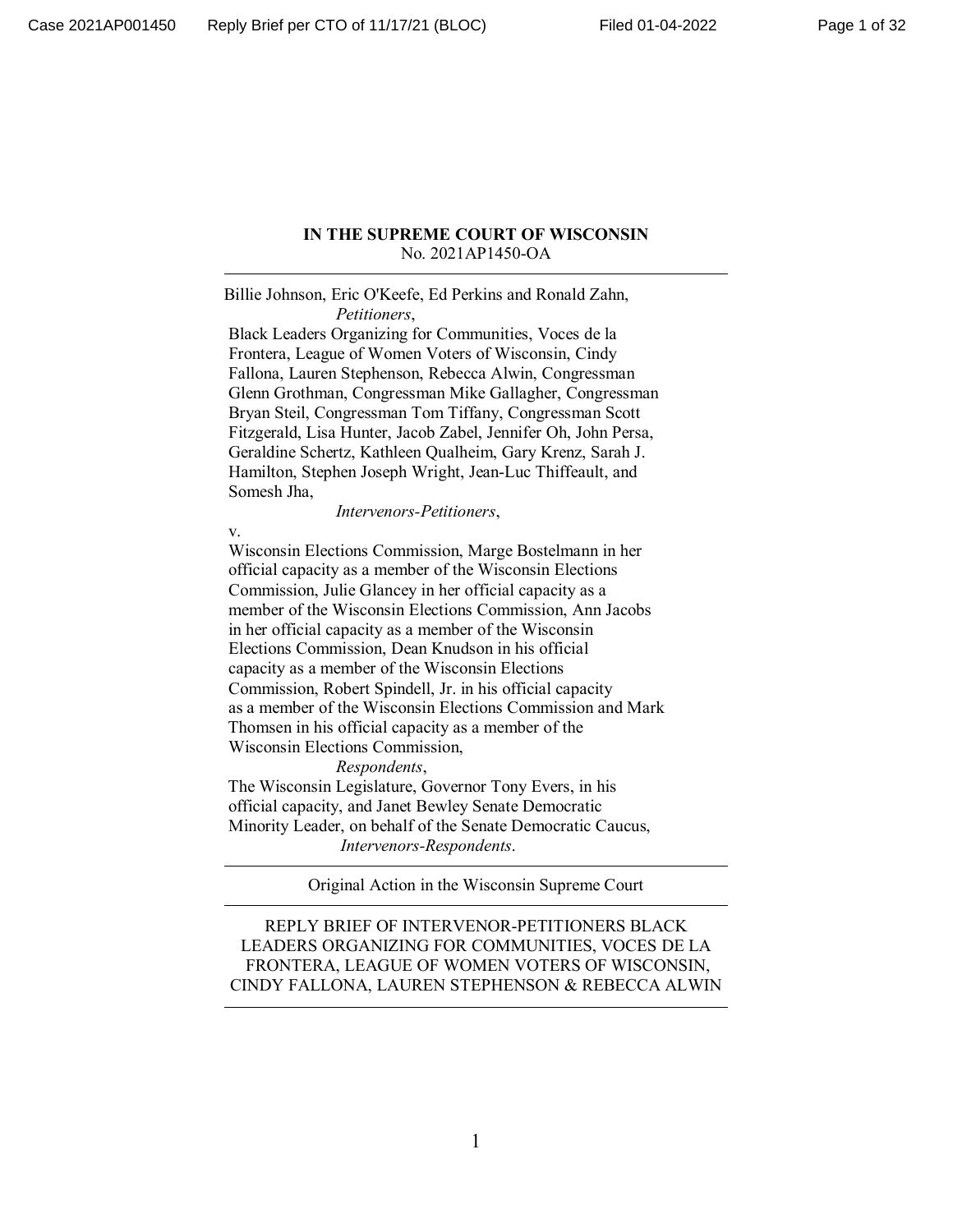#### **IN THE SUPREME COURT OF WISCONSIN** No. 2021AP1450-OA

Billie Johnson, Eric O'Keefe, Ed Perkins and Ronald Zahn, *Petitioners*,

 Black Leaders Organizing for Communities, Voces de la Frontera, League of Women Voters of Wisconsin, Cindy Fallona, Lauren Stephenson, Rebecca Alwin, Congressman Glenn Grothman, Congressman Mike Gallagher, Congressman Bryan Steil, Congressman Tom Tiffany, Congressman Scott Fitzgerald, Lisa Hunter, Jacob Zabel, Jennifer Oh, John Persa, Geraldine Schertz, Kathleen Qualheim, Gary Krenz, Sarah J. Hamilton, Stephen Joseph Wright, Jean-Luc Thiffeault, and Somesh Jha,

*Intervenors-Petitioners*,

v.

 Wisconsin Elections Commission, Marge Bostelmann in her official capacity as a member of the Wisconsin Elections Commission, Julie Glancey in her official capacity as a member of the Wisconsin Elections Commission, Ann Jacobs in her official capacity as a member of the Wisconsin Elections Commission, Dean Knudson in his official capacity as a member of the Wisconsin Elections Commission, Robert Spindell, Jr. in his official capacity as a member of the Wisconsin Elections Commission and Mark Thomsen in his official capacity as a member of the Wisconsin Elections Commission,

*Respondents*,

 The Wisconsin Legislature, Governor Tony Evers, in his official capacity, and Janet Bewley Senate Democratic Minority Leader, on behalf of the Senate Democratic Caucus, *Intervenors-Respondents*.

Original Action in the Wisconsin Supreme Court

REPLY BRIEF OF INTERVENOR-PETITIONERS BLACK LEADERS ORGANIZING FOR COMMUNITIES, VOCES DE LA FRONTERA, LEAGUE OF WOMEN VOTERS OF WISCONSIN, CINDY FALLONA, LAUREN STEPHENSON & REBECCA ALWIN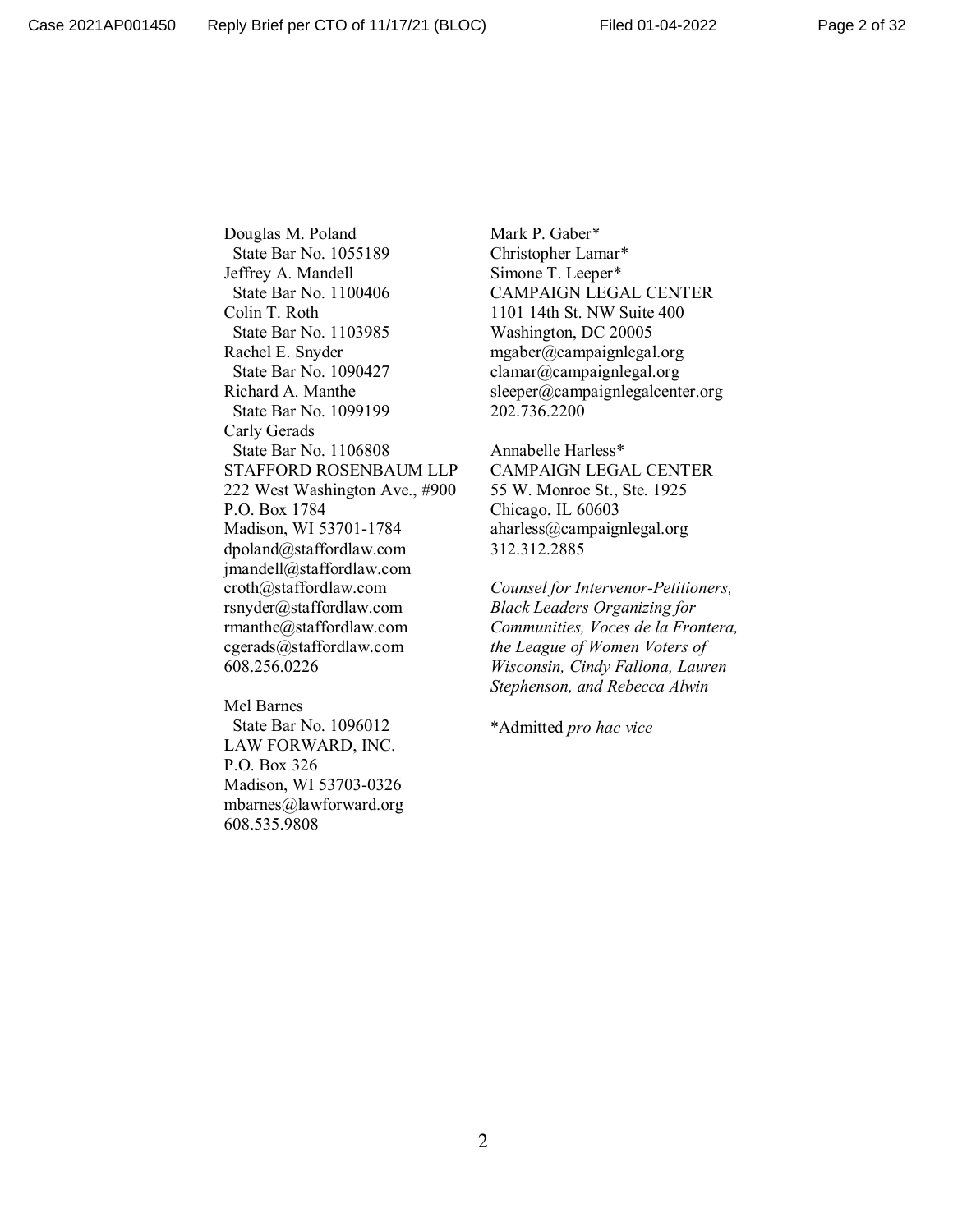Douglas M. Poland State Bar No. 1055189 Jeffrey A. Mandell State Bar No. 1100406 Colin T. Roth State Bar No. 1103985 Rachel E. Snyder State Bar No. 1090427 Richard A. Manthe State Bar No. 1099199 Carly Gerads State Bar No. 1106808 STAFFORD ROSENBAUM LLP 222 West Washington Ave., #900 P.O. Box 1784 Madison, WI 53701-1784 dpoland@staffordlaw.com jmandell@staffordlaw.com croth@staffordlaw.com rsnyder@staffordlaw.com rmanthe@staffordlaw.com cgerads@staffordlaw.com 608.256.0226

Mel Barnes State Bar No. 1096012 LAW FORWARD, INC. P.O. Box 326 Madison, WI 53703-0326 mbarnes@lawforward.org 608.535.9808

Mark P. Gaber\* Christopher Lamar\* Simone T. Leeper\* CAMPAIGN LEGAL CENTER 1101 14th St. NW Suite 400 Washington, DC 20005 mgaber@campaignlegal.org clamar@campaignlegal.org sleeper@campaignlegalcenter.org 202.736.2200

Annabelle Harless\* CAMPAIGN LEGAL CENTER 55 W. Monroe St., Ste. 1925 Chicago, IL 60603 aharless@campaignlegal.org 312.312.2885

*Counsel for Intervenor-Petitioners, Black Leaders Organizing for Communities, Voces de la Frontera, the League of Women Voters of Wisconsin, Cindy Fallona, Lauren Stephenson, and Rebecca Alwin*

\*Admitted *pro hac vice*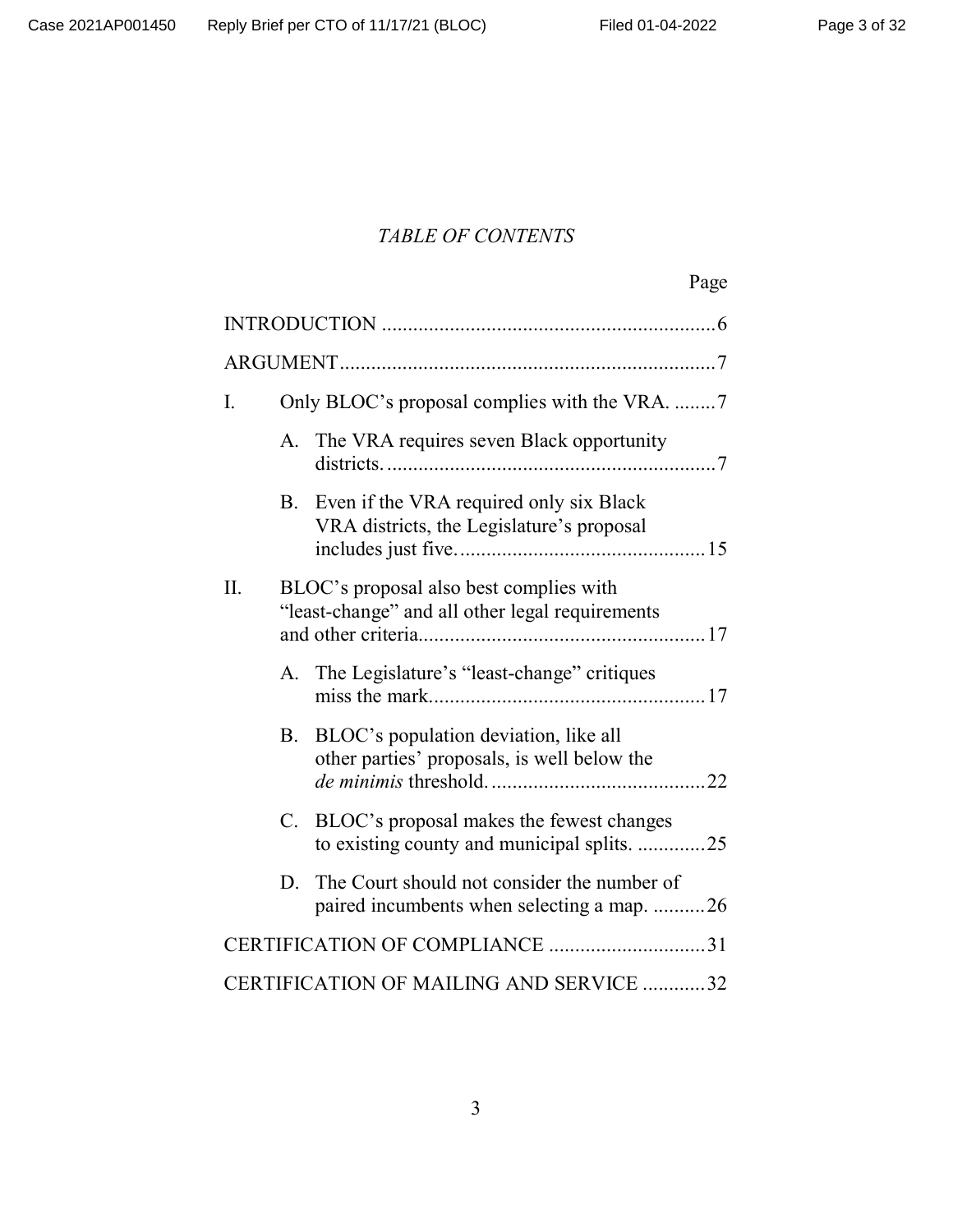# *TABLE OF CONTENTS*

| Page |
|------|
|      |

| I.                                      |             | Only BLOC's proposal complies with the VRA. 7                                              |  |
|-----------------------------------------|-------------|--------------------------------------------------------------------------------------------|--|
|                                         | А.          | The VRA requires seven Black opportunity                                                   |  |
|                                         | B.          | Even if the VRA required only six Black<br>VRA districts, the Legislature's proposal       |  |
| II.                                     |             | BLOC's proposal also best complies with<br>"least-change" and all other legal requirements |  |
|                                         |             | A. The Legislature's "least-change" critiques                                              |  |
|                                         |             | B. BLOC's population deviation, like all<br>other parties' proposals, is well below the    |  |
|                                         | $C_{\cdot}$ | BLOC's proposal makes the fewest changes<br>to existing county and municipal splits. 25    |  |
|                                         | D.          | The Court should not consider the number of<br>paired incumbents when selecting a map. 26  |  |
| CERTIFICATION OF COMPLIANCE 31          |             |                                                                                            |  |
| CERTIFICATION OF MAILING AND SERVICE 32 |             |                                                                                            |  |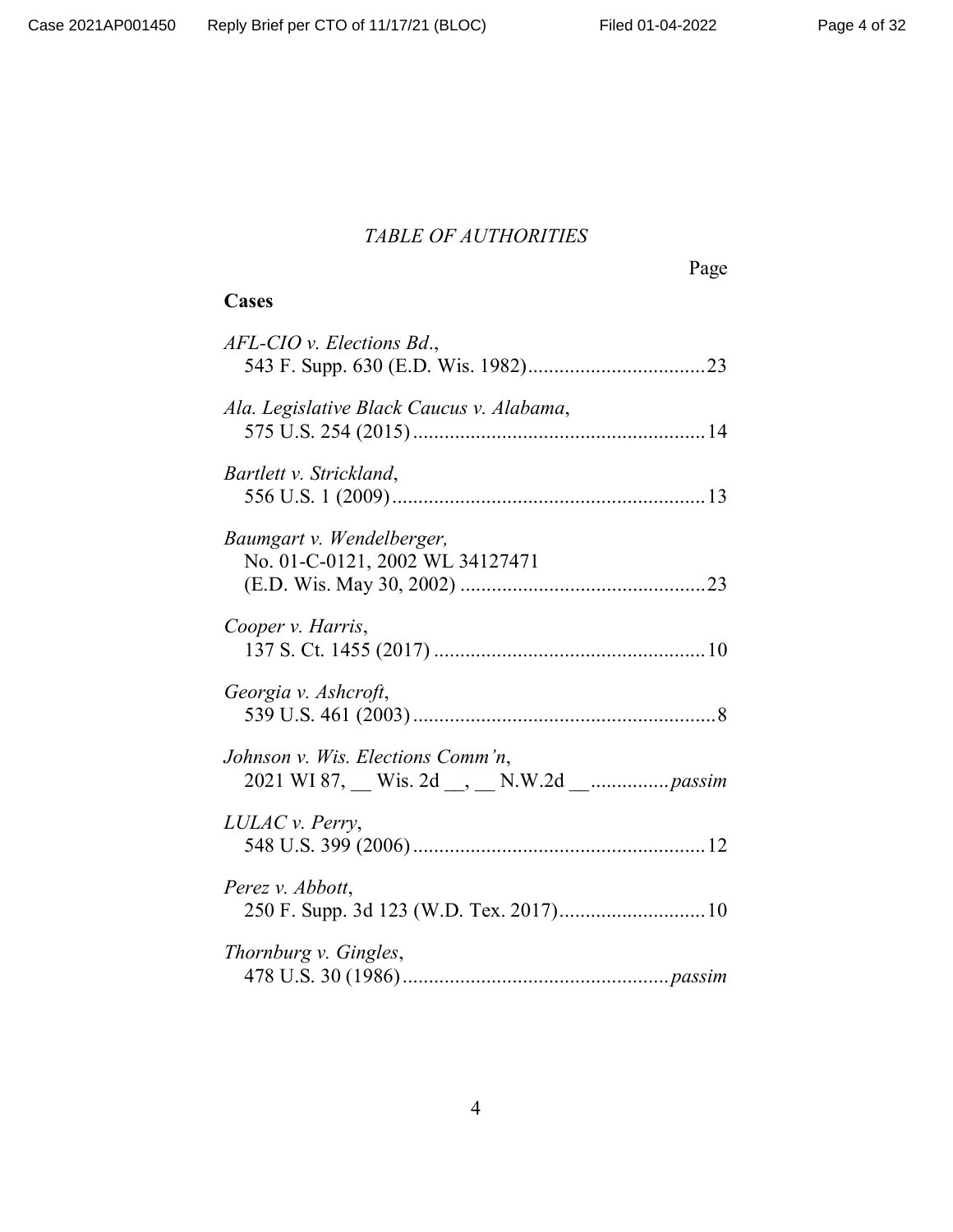# *TABLE OF AUTHORITIES*

Page

# **Cases**

| AFL-CIO v. Elections Bd.,                                    |  |
|--------------------------------------------------------------|--|
| Ala. Legislative Black Caucus v. Alabama,                    |  |
| Bartlett v. Strickland,                                      |  |
| Baumgart v. Wendelberger,<br>No. 01-C-0121, 2002 WL 34127471 |  |
| Cooper v. Harris,                                            |  |
| Georgia v. Ashcroft,                                         |  |
| Johnson v. Wis. Elections Comm'n,                            |  |
| LULAC v. Perry,                                              |  |
| Perez v. Abbott,<br>250 F. Supp. 3d 123 (W.D. Tex. 2017) 10  |  |
| Thornburg v. Gingles,                                        |  |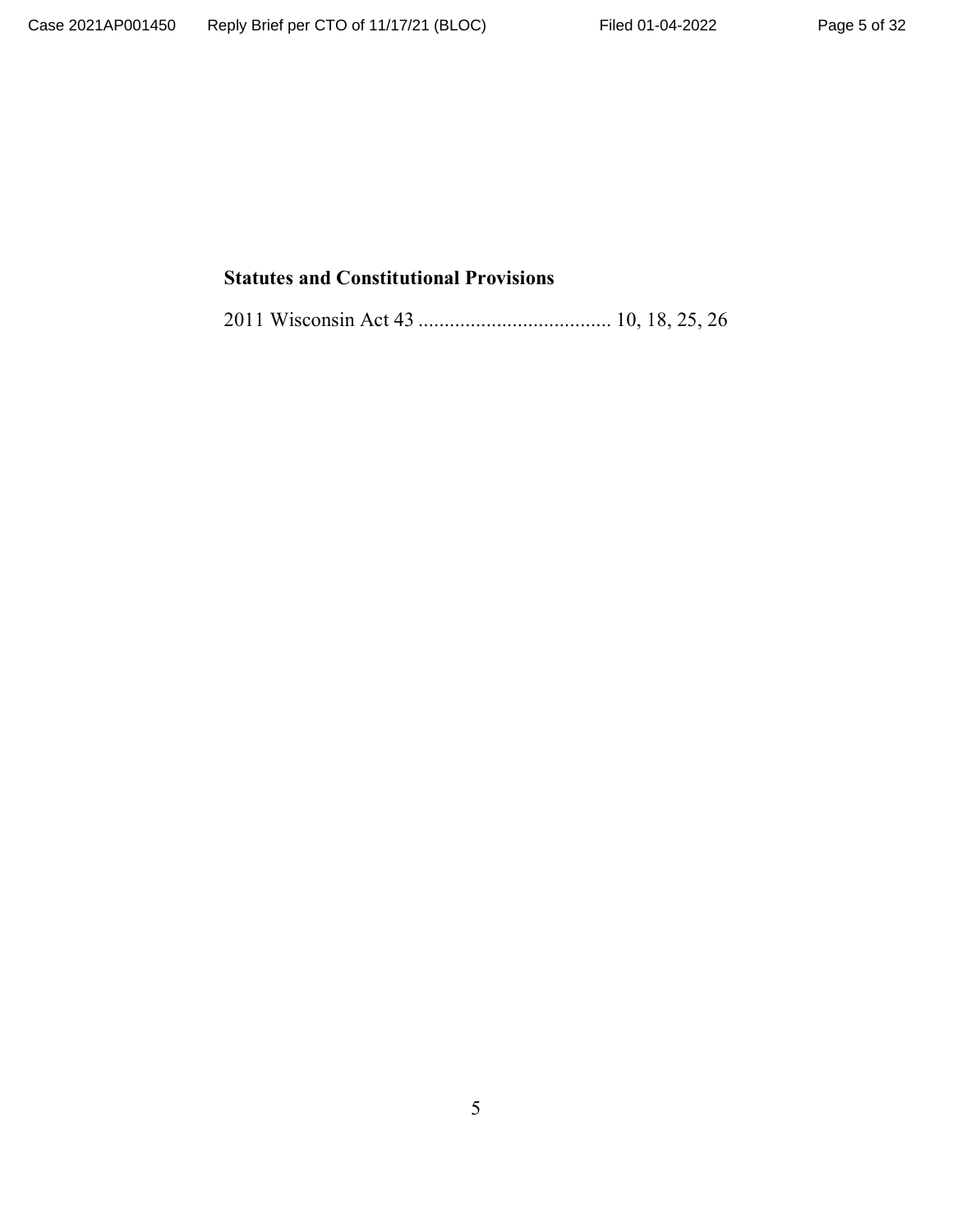# **Statutes and Constitutional Provisions**

2011 Wisconsin Act 43 ..................................... 10, 18, 25, 26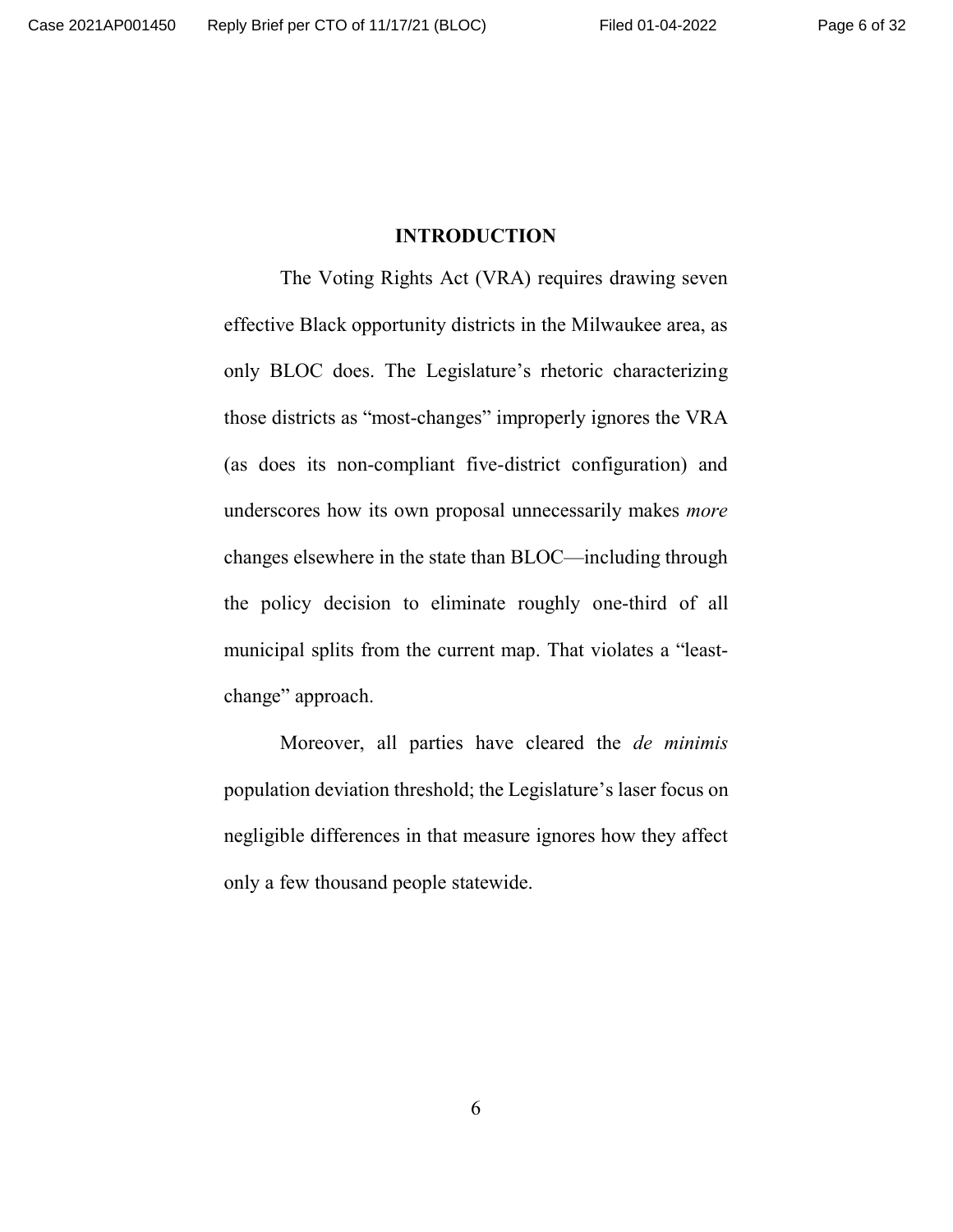#### **INTRODUCTION**

The Voting Rights Act (VRA) requires drawing seven effective Black opportunity districts in the Milwaukee area, as only BLOC does. The Legislature's rhetoric characterizing those districts as "most-changes" improperly ignores the VRA (as does its non-compliant five-district configuration) and underscores how its own proposal unnecessarily makes *more* changes elsewhere in the state than BLOC—including through the policy decision to eliminate roughly one-third of all municipal splits from the current map. That violates a "leastchange" approach.

Moreover, all parties have cleared the *de minimis* population deviation threshold; the Legislature's laser focus on negligible differences in that measure ignores how they affect only a few thousand people statewide.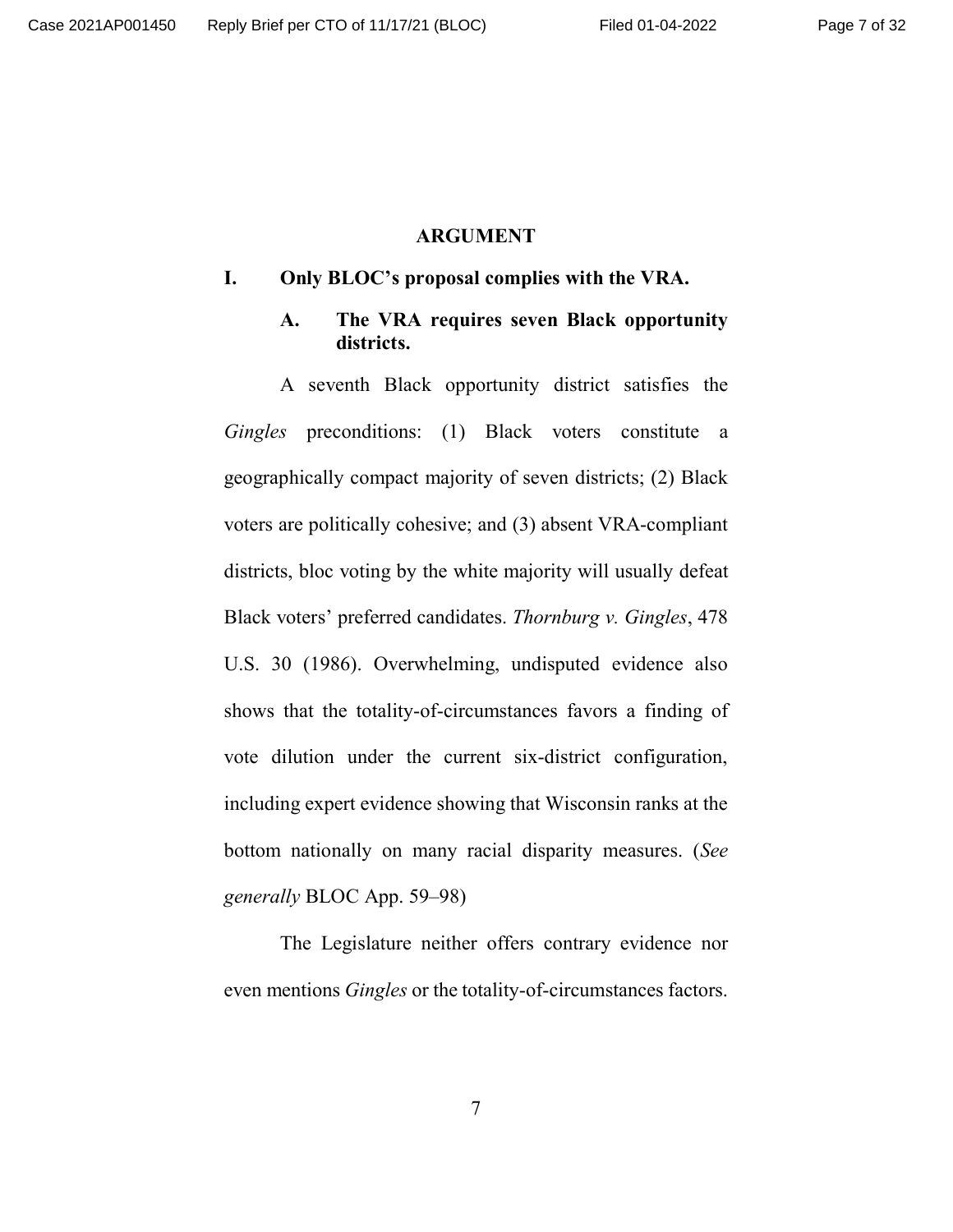#### **ARGUMENT**

#### **I. Only BLOC's proposal complies with the VRA.**

#### **A. The VRA requires seven Black opportunity districts.**

A seventh Black opportunity district satisfies the *Gingles* preconditions: (1) Black voters constitute a geographically compact majority of seven districts; (2) Black voters are politically cohesive; and (3) absent VRA-compliant districts, bloc voting by the white majority will usually defeat Black voters' preferred candidates. *Thornburg v. Gingles*, 478 U.S. 30 (1986). Overwhelming, undisputed evidence also shows that the totality-of-circumstances favors a finding of vote dilution under the current six-district configuration, including expert evidence showing that Wisconsin ranks at the bottom nationally on many racial disparity measures. (*See generally* BLOC App. 59–98)

The Legislature neither offers contrary evidence nor even mentions *Gingles* or the totality-of-circumstances factors.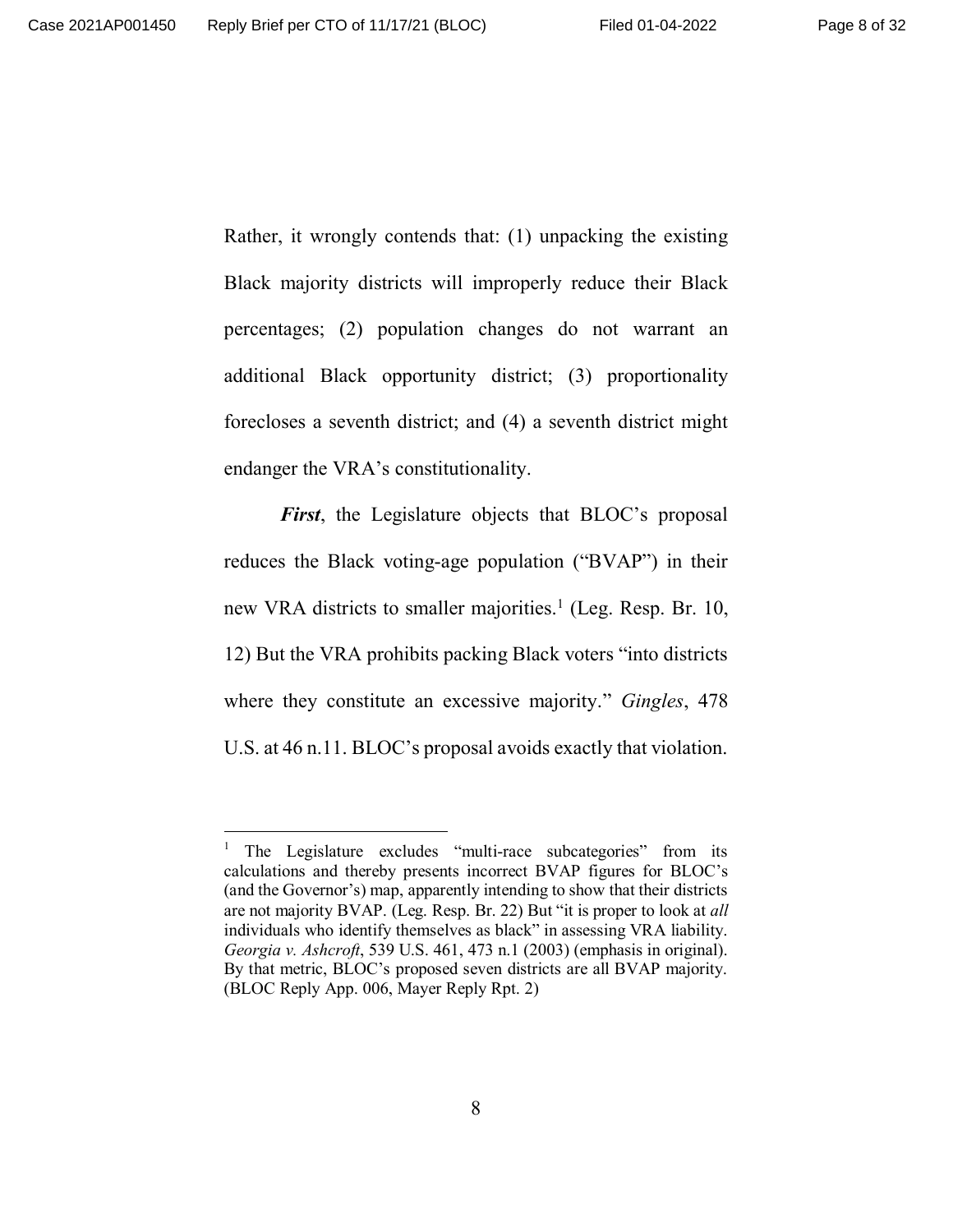Rather, it wrongly contends that: (1) unpacking the existing Black majority districts will improperly reduce their Black percentages; (2) population changes do not warrant an additional Black opportunity district; (3) proportionality forecloses a seventh district; and (4) a seventh district might endanger the VRA's constitutionality.

*First*, the Legislature objects that BLOC's proposal reduces the Black voting-age population ("BVAP") in their new VRA districts to smaller majorities.<sup>1</sup> (Leg. Resp. Br. 10, 12) But the VRA prohibits packing Black voters "into districts where they constitute an excessive majority." *Gingles*, 478 U.S. at 46 n.11. BLOC's proposal avoids exactly that violation.

<sup>1</sup> The Legislature excludes "multi-race subcategories" from its calculations and thereby presents incorrect BVAP figures for BLOC's (and the Governor's) map, apparently intending to show that their districts are not majority BVAP. (Leg. Resp. Br. 22) But "it is proper to look at *all* individuals who identify themselves as black" in assessing VRA liability. *Georgia v. Ashcroft*, 539 U.S. 461, 473 n.1 (2003) (emphasis in original). By that metric, BLOC's proposed seven districts are all BVAP majority. (BLOC Reply App. 006, Mayer Reply Rpt. 2)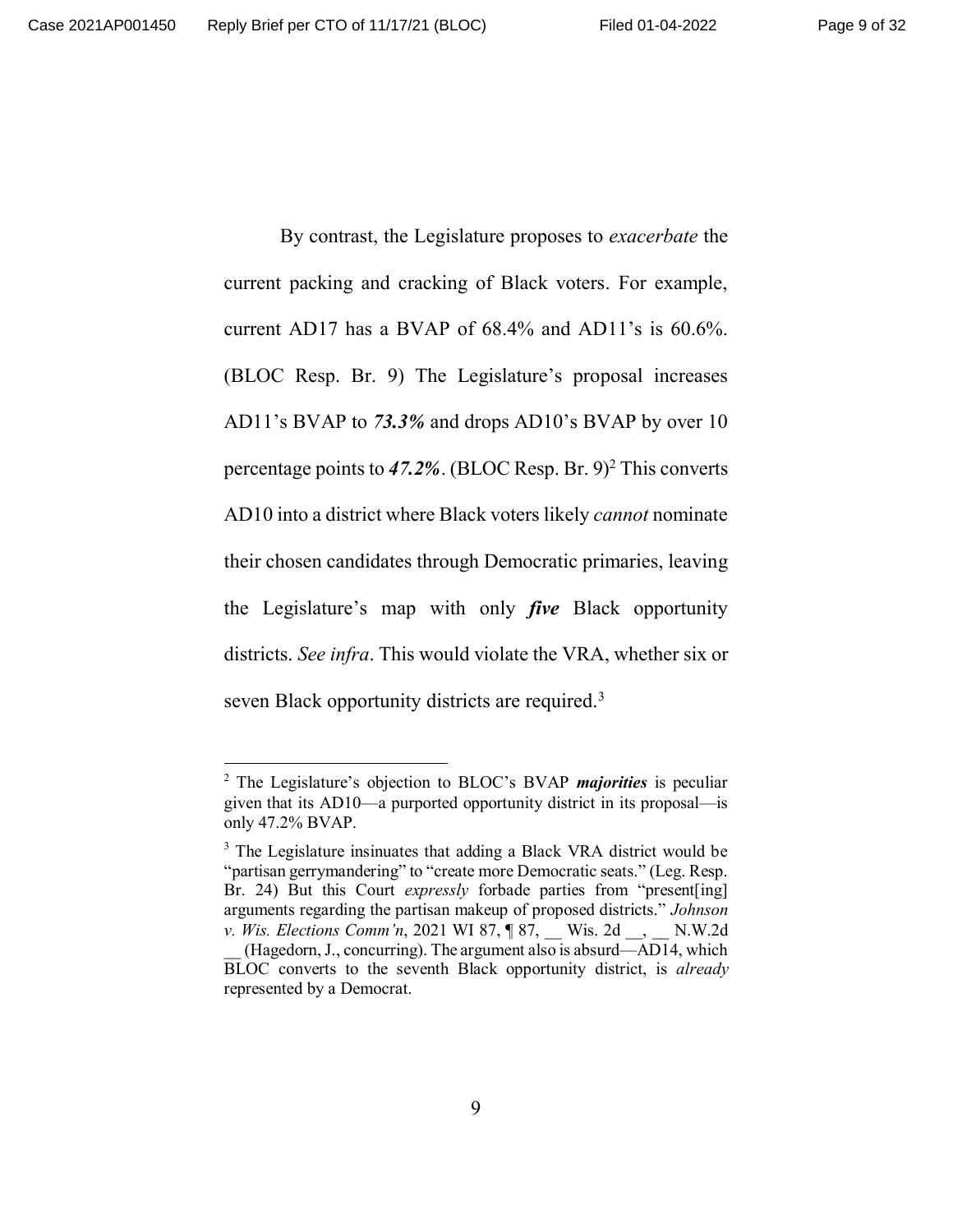By contrast, the Legislature proposes to *exacerbate* the current packing and cracking of Black voters. For example, current AD17 has a BVAP of 68.4% and AD11's is 60.6%. (BLOC Resp. Br. 9) The Legislature's proposal increases AD11's BVAP to *73.3%* and drops AD10's BVAP by over 10 percentage points to 47.2%. (BLOC Resp. Br. 9)<sup>2</sup> This converts AD10 into a district where Black voters likely *cannot* nominate their chosen candidates through Democratic primaries, leaving the Legislature's map with only *five* Black opportunity districts. *See infra*. This would violate the VRA, whether six or seven Black opportunity districts are required.<sup>3</sup>

<sup>2</sup> The Legislature's objection to BLOC's BVAP *majorities* is peculiar given that its AD10—a purported opportunity district in its proposal—is only 47.2% BVAP.

<sup>&</sup>lt;sup>3</sup> The Legislature insinuates that adding a Black VRA district would be "partisan gerrymandering" to "create more Democratic seats." (Leg. Resp. Br. 24) But this Court *expressly* forbade parties from "present[ing] arguments regarding the partisan makeup of proposed districts." *Johnson v. Wis. Elections Comm'n,* 2021 WI 87, **[87, \_\_ Wis. 2d** \_\_, \_\_ N.W.2d (Hagedorn, J., concurring). The argument also is absurd—AD14, which BLOC converts to the seventh Black opportunity district, is *already* represented by a Democrat.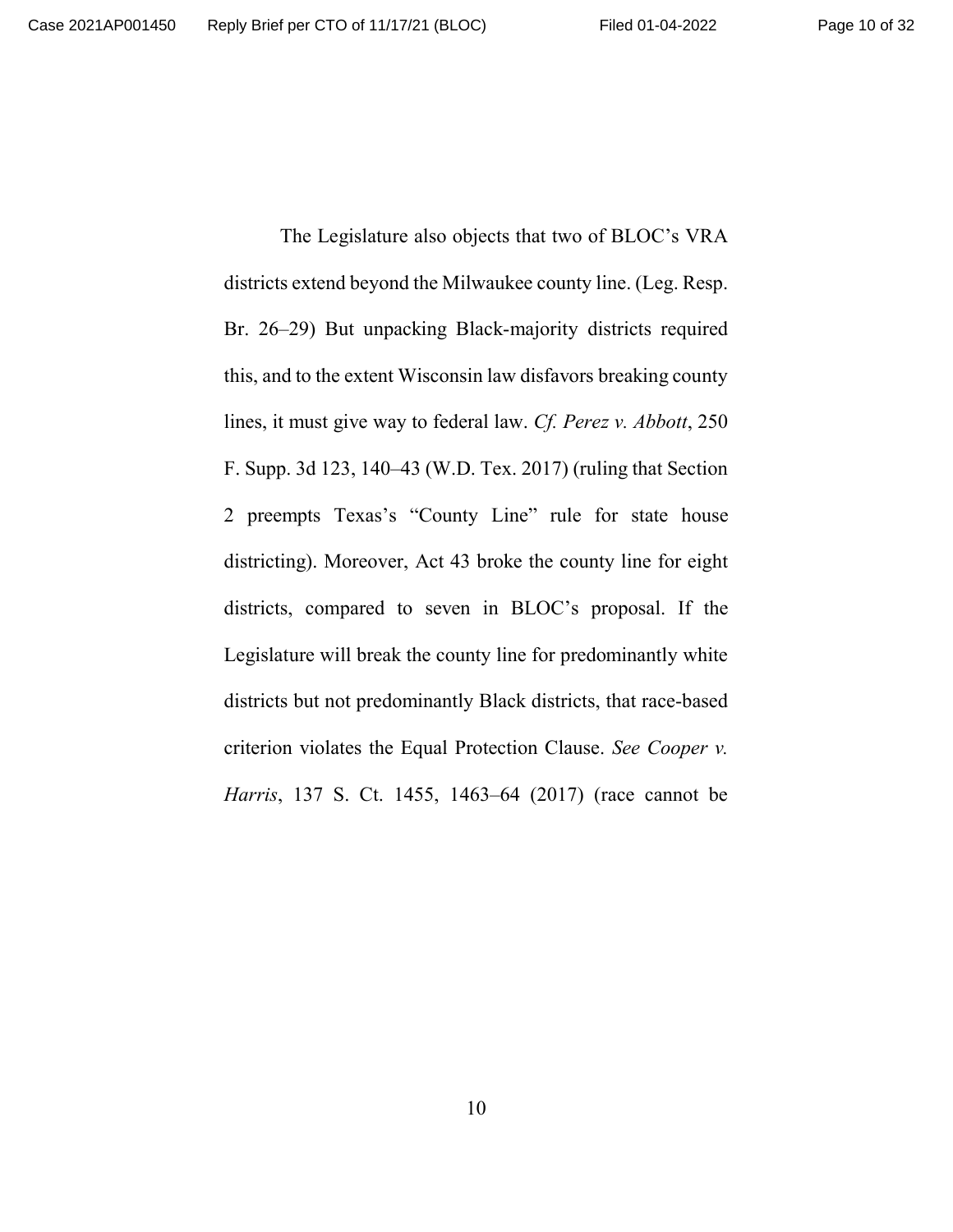The Legislature also objects that two of BLOC's VRA districts extend beyond the Milwaukee county line. (Leg. Resp. Br. 26–29) But unpacking Black-majority districts required this, and to the extent Wisconsin law disfavors breaking county lines, it must give way to federal law. *Cf. Perez v. Abbott*, 250 F. Supp. 3d 123, 140–43 (W.D. Tex. 2017) (ruling that Section 2 preempts Texas's "County Line" rule for state house districting). Moreover, Act 43 broke the county line for eight districts, compared to seven in BLOC's proposal. If the Legislature will break the county line for predominantly white districts but not predominantly Black districts, that race-based criterion violates the Equal Protection Clause. *See Cooper v. Harris*, 137 S. Ct. 1455, 1463–64 (2017) (race cannot be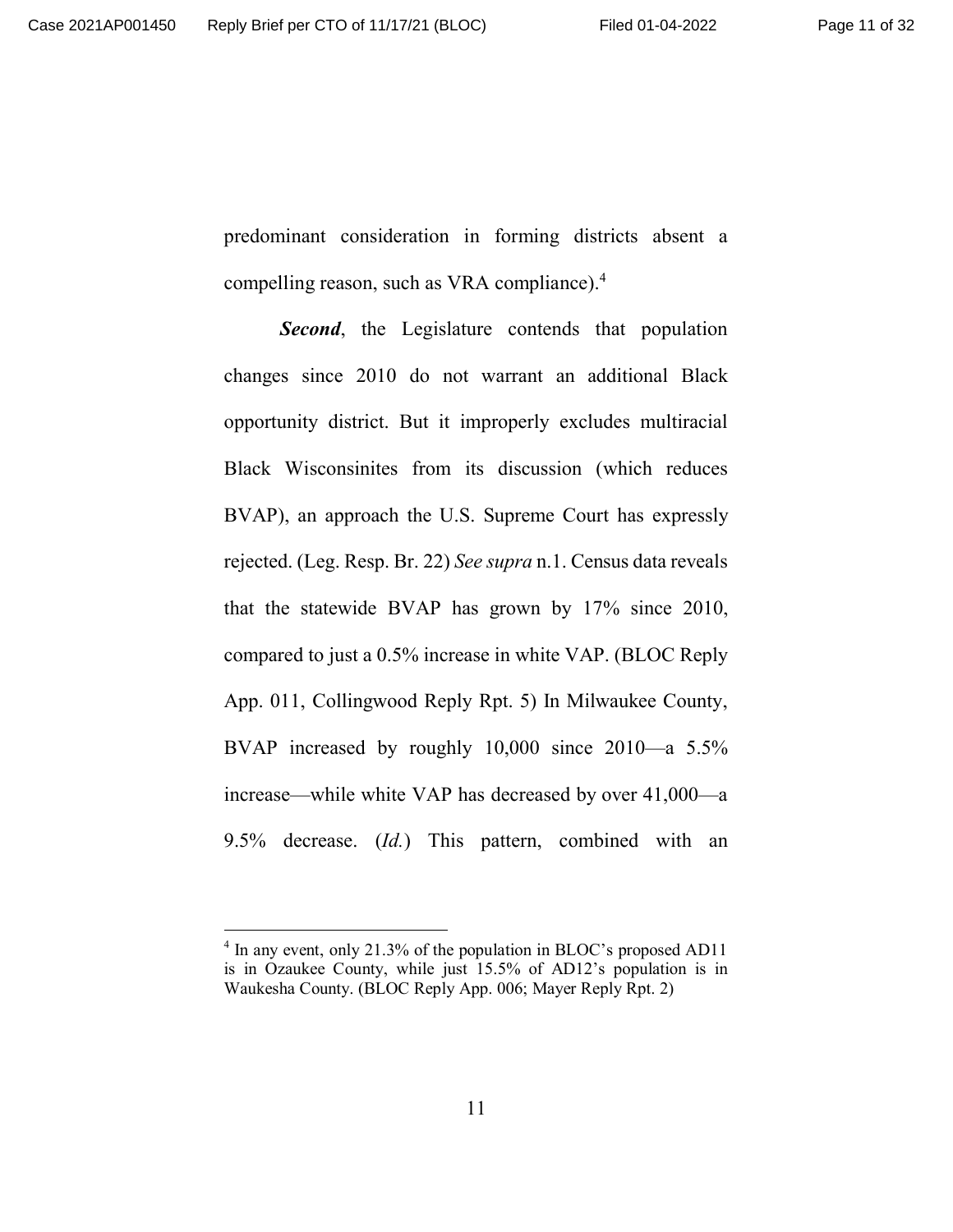predominant consideration in forming districts absent a compelling reason, such as VRA compliance).<sup>4</sup>

**Second**, the Legislature contends that population changes since 2010 do not warrant an additional Black opportunity district. But it improperly excludes multiracial Black Wisconsinites from its discussion (which reduces BVAP), an approach the U.S. Supreme Court has expressly rejected. (Leg. Resp. Br. 22) *See supra* n.1. Census data reveals that the statewide BVAP has grown by 17% since 2010, compared to just a 0.5% increase in white VAP. (BLOC Reply App. 011, Collingwood Reply Rpt. 5) In Milwaukee County, BVAP increased by roughly 10,000 since 2010—a 5.5% increase—while white VAP has decreased by over 41,000—a 9.5% decrease. (*Id.*) This pattern, combined with an

<sup>&</sup>lt;sup>4</sup> In any event, only 21.3% of the population in BLOC's proposed AD11 is in Ozaukee County, while just 15.5% of AD12's population is in Waukesha County. (BLOC Reply App. 006; Mayer Reply Rpt. 2)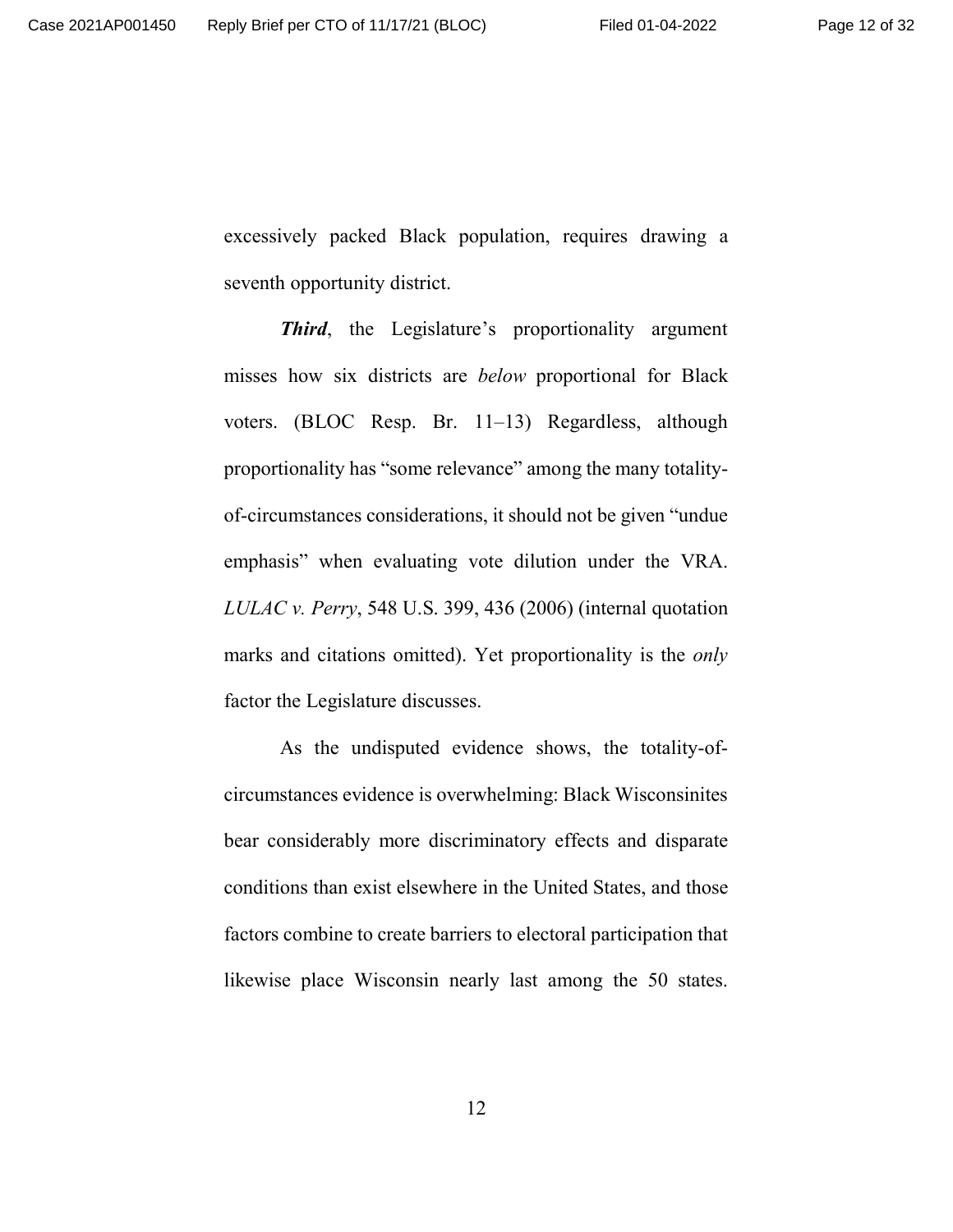excessively packed Black population, requires drawing a seventh opportunity district.

*Third*, the Legislature's proportionality argument misses how six districts are *below* proportional for Black voters. (BLOC Resp. Br. 11–13) Regardless, although proportionality has "some relevance" among the many totalityof-circumstances considerations, it should not be given "undue emphasis" when evaluating vote dilution under the VRA. *LULAC v. Perry*, 548 U.S. 399, 436 (2006) (internal quotation marks and citations omitted). Yet proportionality is the *only* factor the Legislature discusses.

As the undisputed evidence shows, the totality-ofcircumstances evidence is overwhelming: Black Wisconsinites bear considerably more discriminatory effects and disparate conditions than exist elsewhere in the United States, and those factors combine to create barriers to electoral participation that likewise place Wisconsin nearly last among the 50 states.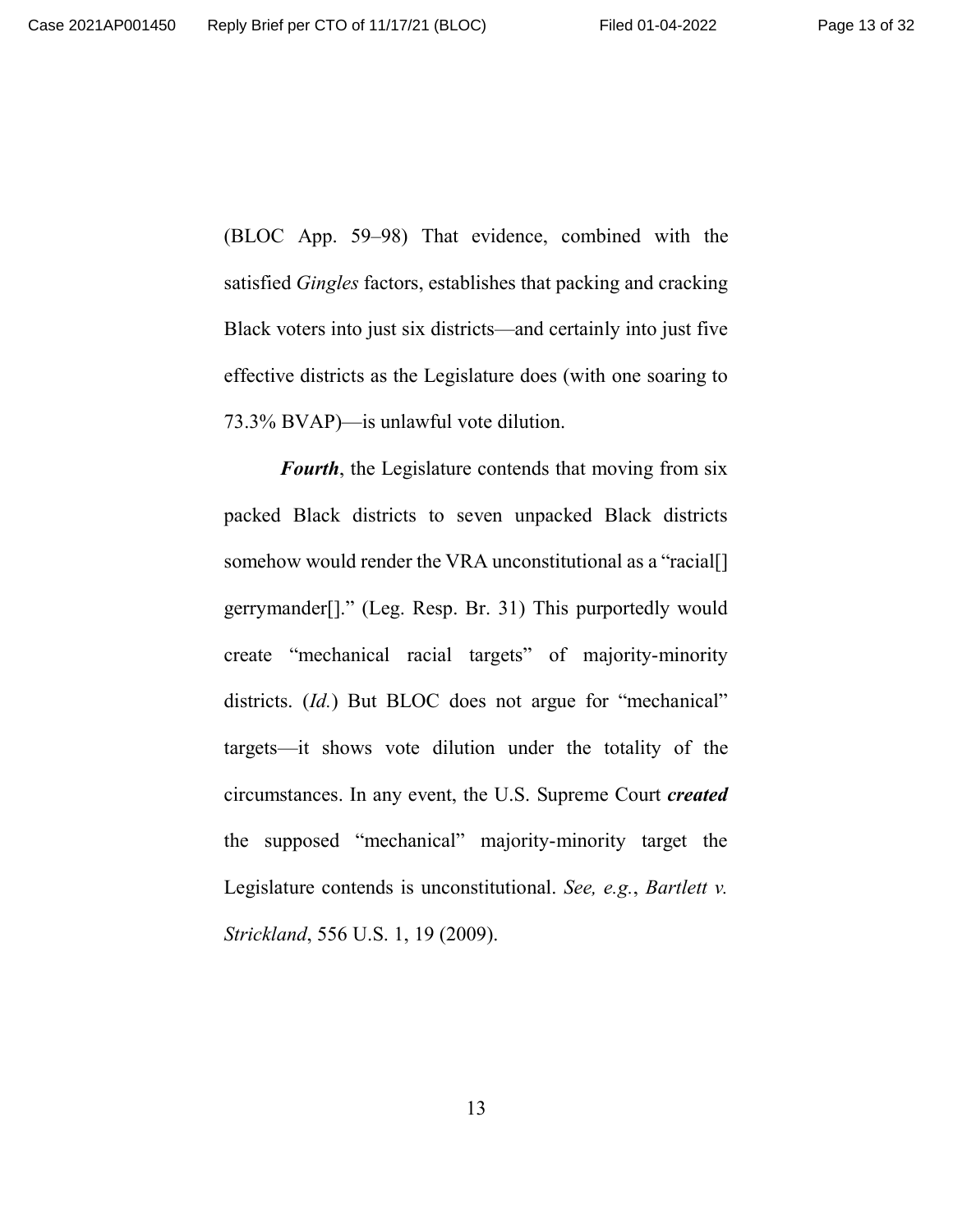(BLOC App. 59–98) That evidence, combined with the satisfied *Gingles* factors, establishes that packing and cracking Black voters into just six districts—and certainly into just five effective districts as the Legislature does (with one soaring to 73.3% BVAP)—is unlawful vote dilution.

*Fourth*, the Legislature contends that moving from six packed Black districts to seven unpacked Black districts somehow would render the VRA unconstitutional as a "racial. gerrymander[]." (Leg. Resp. Br. 31) This purportedly would create "mechanical racial targets" of majority-minority districts. (*Id.*) But BLOC does not argue for "mechanical" targets—it shows vote dilution under the totality of the circumstances. In any event, the U.S. Supreme Court *created* the supposed "mechanical" majority-minority target the Legislature contends is unconstitutional. *See, e.g.*, *Bartlett v. Strickland*, 556 U.S. 1, 19 (2009).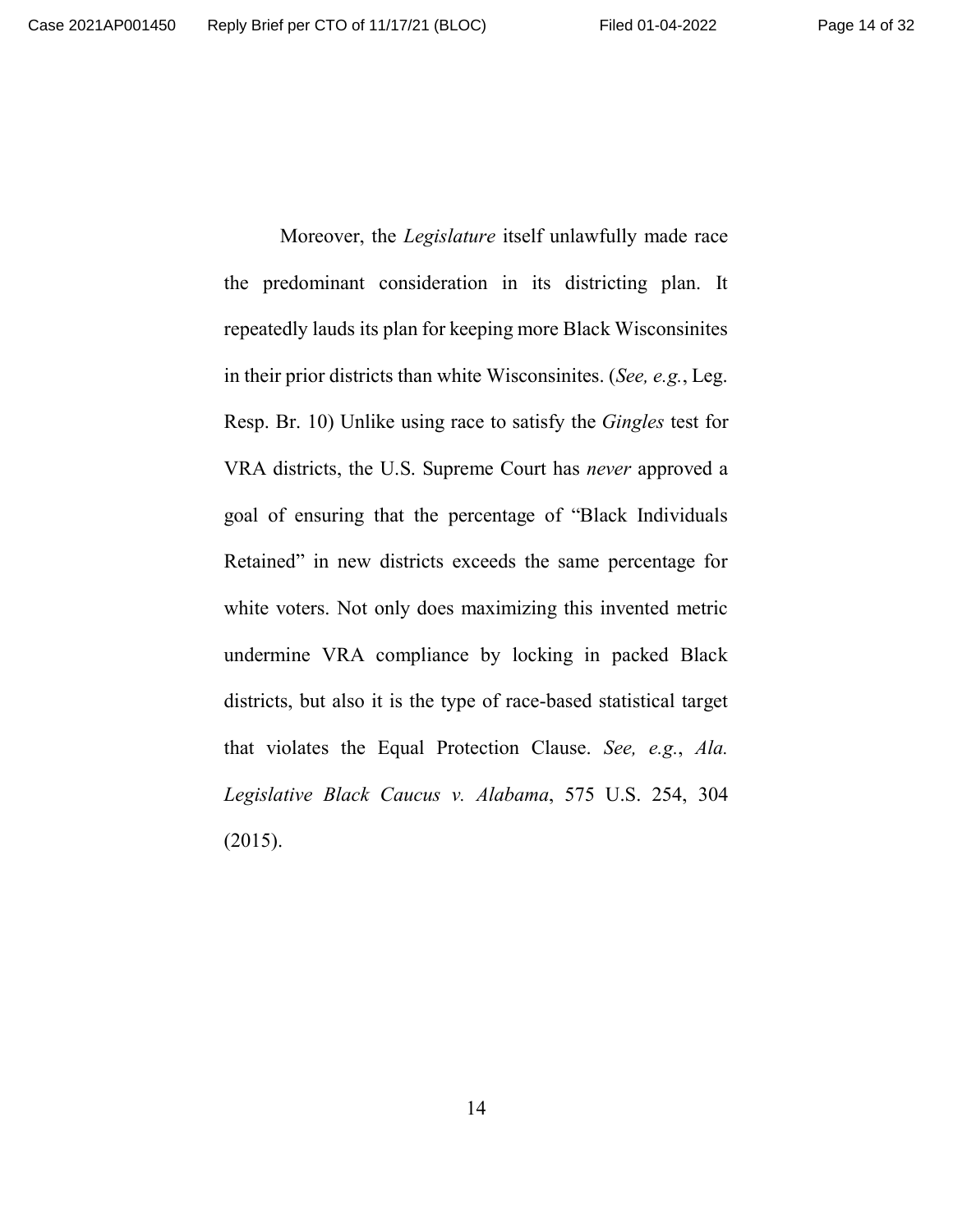Moreover, the *Legislature* itself unlawfully made race the predominant consideration in its districting plan. It repeatedly lauds its plan for keeping more Black Wisconsinites in their prior districts than white Wisconsinites. (*See, e.g.*, Leg. Resp. Br. 10) Unlike using race to satisfy the *Gingles* test for VRA districts, the U.S. Supreme Court has *never* approved a goal of ensuring that the percentage of "Black Individuals Retained" in new districts exceeds the same percentage for white voters. Not only does maximizing this invented metric undermine VRA compliance by locking in packed Black districts, but also it is the type of race-based statistical target that violates the Equal Protection Clause. *See, e.g.*, *Ala. Legislative Black Caucus v. Alabama*, 575 U.S. 254, 304 (2015).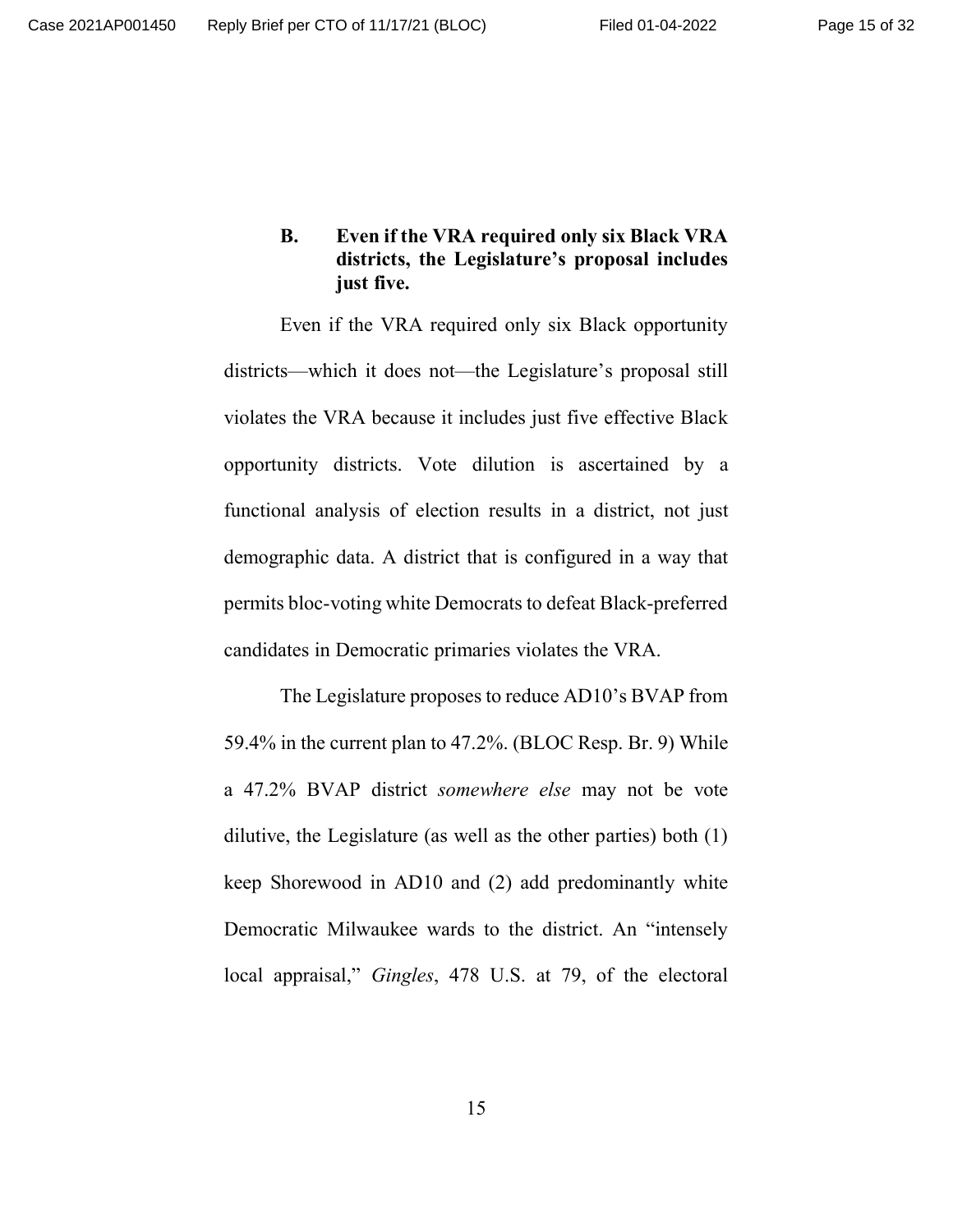**B. Even if the VRA required only six Black VRA districts, the Legislature's proposal includes just five.**

Even if the VRA required only six Black opportunity districts—which it does not—the Legislature's proposal still violates the VRA because it includes just five effective Black opportunity districts. Vote dilution is ascertained by a functional analysis of election results in a district, not just demographic data. A district that is configured in a way that permits bloc-voting white Democrats to defeat Black-preferred candidates in Democratic primaries violates the VRA.

The Legislature proposes to reduce AD10's BVAP from 59.4% in the current plan to 47.2%. (BLOC Resp. Br. 9) While a 47.2% BVAP district *somewhere else* may not be vote dilutive, the Legislature (as well as the other parties) both (1) keep Shorewood in AD10 and (2) add predominantly white Democratic Milwaukee wards to the district. An "intensely local appraisal," *Gingles*, 478 U.S. at 79, of the electoral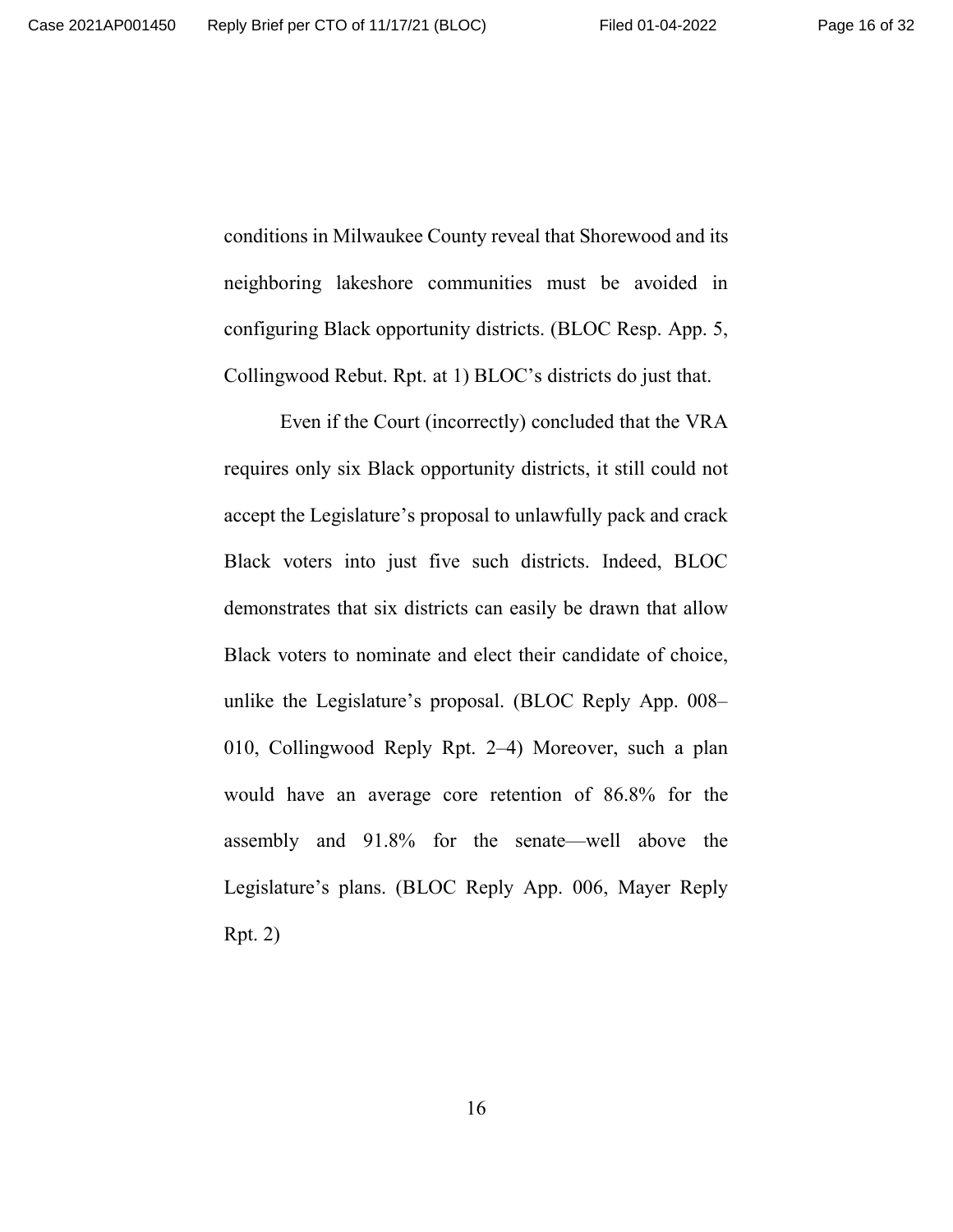conditions in Milwaukee County reveal that Shorewood and its neighboring lakeshore communities must be avoided in configuring Black opportunity districts. (BLOC Resp. App. 5, Collingwood Rebut. Rpt. at 1) BLOC's districts do just that.

Even if the Court (incorrectly) concluded that the VRA requires only six Black opportunity districts, it still could not accept the Legislature's proposal to unlawfully pack and crack Black voters into just five such districts. Indeed, BLOC demonstrates that six districts can easily be drawn that allow Black voters to nominate and elect their candidate of choice, unlike the Legislature's proposal. (BLOC Reply App. 008– 010, Collingwood Reply Rpt. 2–4) Moreover, such a plan would have an average core retention of 86.8% for the assembly and 91.8% for the senate—well above the Legislature's plans. (BLOC Reply App. 006, Mayer Reply Rpt. 2)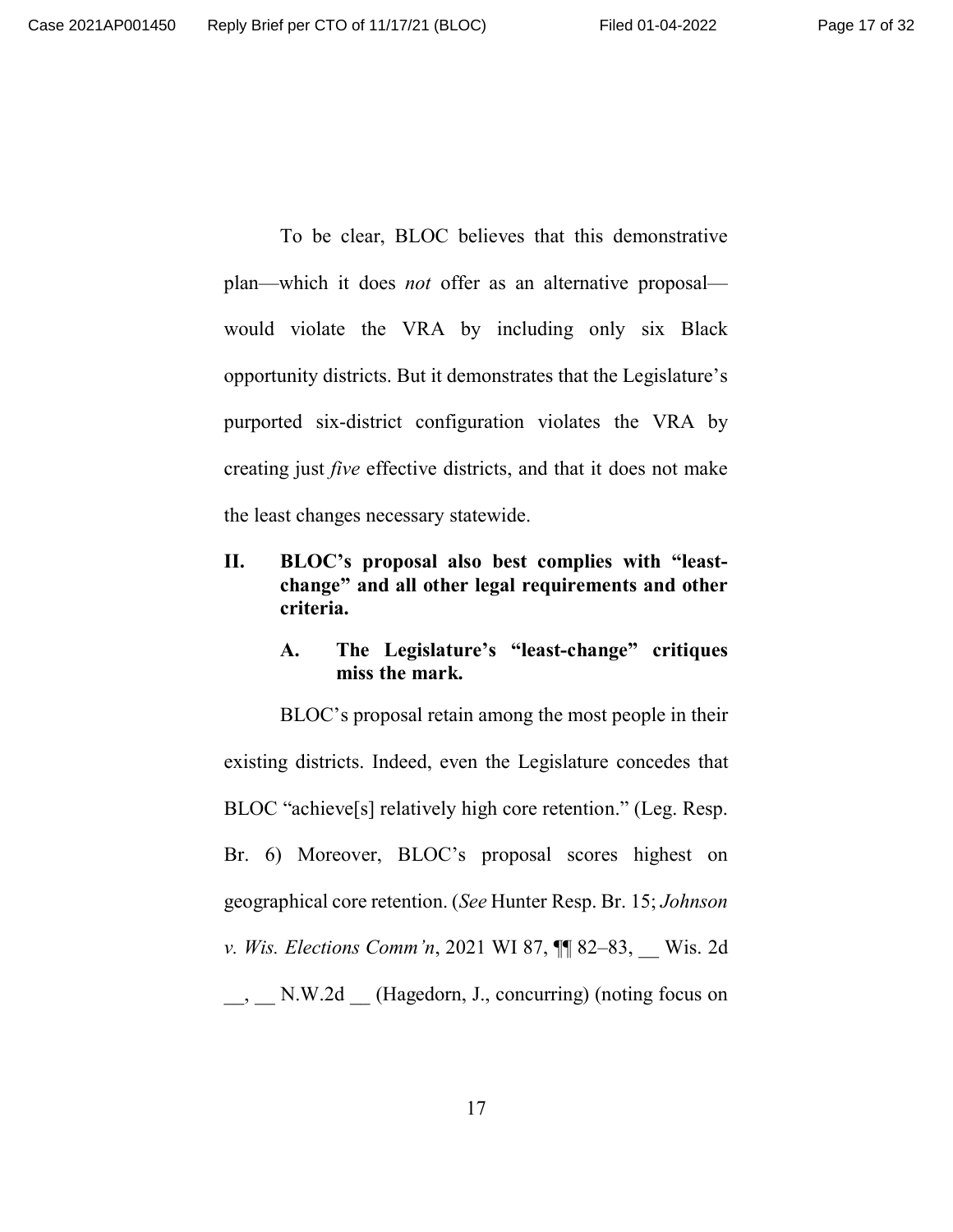To be clear, BLOC believes that this demonstrative plan—which it does *not* offer as an alternative proposal would violate the VRA by including only six Black opportunity districts. But it demonstrates that the Legislature's purported six-district configuration violates the VRA by creating just *five* effective districts, and that it does not make the least changes necessary statewide.

**II. BLOC's proposal also best complies with "leastchange" and all other legal requirements and other criteria.**

## **A. The Legislature's "least-change" critiques miss the mark.**

BLOC's proposal retain among the most people in their existing districts. Indeed, even the Legislature concedes that BLOC "achieve[s] relatively high core retention." (Leg. Resp. Br. 6) Moreover, BLOC's proposal scores highest on geographical core retention. (*See* Hunter Resp. Br. 15; *Johnson v. Wis. Elections Comm'n,* 2021 WI 87,  $\P$  82–83, Wis. 2d \_\_, \_\_ N.W.2d \_\_ (Hagedorn, J., concurring) (noting focus on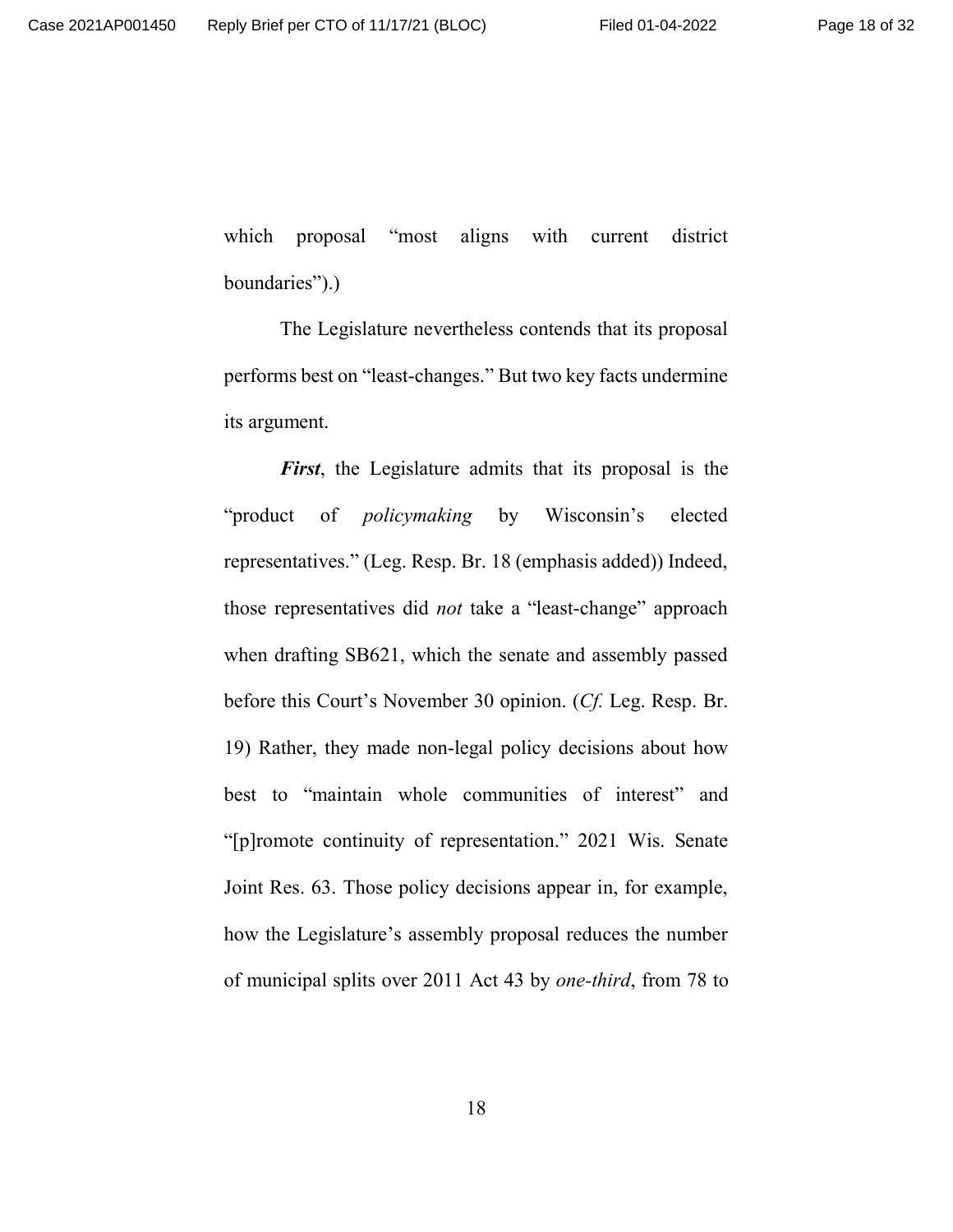which proposal "most aligns with current district boundaries").)

The Legislature nevertheless contends that its proposal performs best on "least-changes." But two key facts undermine its argument.

*First*, the Legislature admits that its proposal is the "product of *policymaking* by Wisconsin's elected representatives." (Leg. Resp. Br. 18 (emphasis added)) Indeed, those representatives did *not* take a "least-change" approach when drafting SB621, which the senate and assembly passed before this Court's November 30 opinion. (*Cf.* Leg. Resp. Br. 19) Rather, they made non-legal policy decisions about how best to "maintain whole communities of interest" and "[p]romote continuity of representation." 2021 Wis. Senate Joint Res. 63. Those policy decisions appear in, for example, how the Legislature's assembly proposal reduces the number of municipal splits over 2011 Act 43 by *one-third*, from 78 to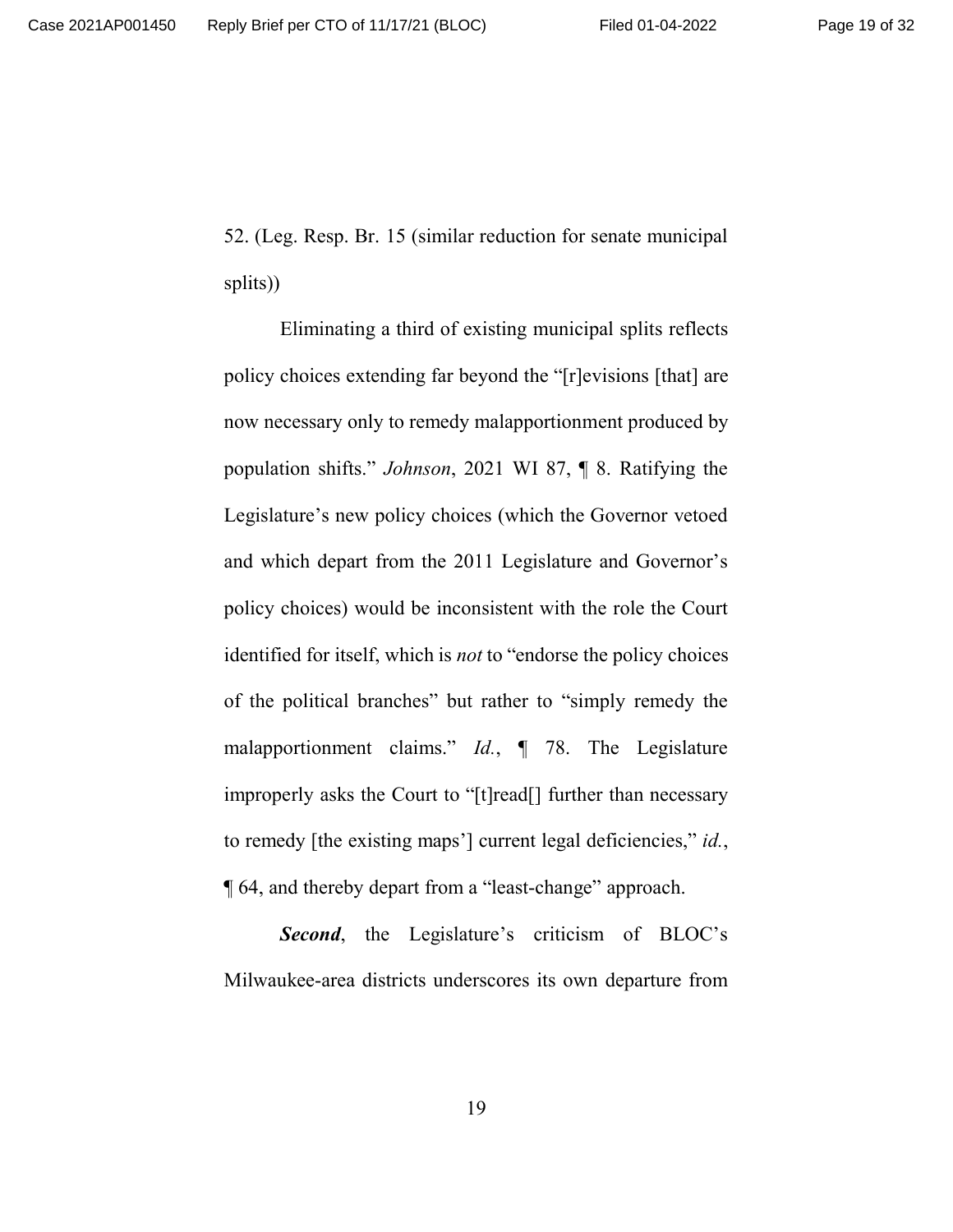52. (Leg. Resp. Br. 15 (similar reduction for senate municipal splits))

Eliminating a third of existing municipal splits reflects policy choices extending far beyond the "[r]evisions [that] are now necessary only to remedy malapportionment produced by population shifts." *Johnson*, 2021 WI 87, ¶ 8. Ratifying the Legislature's new policy choices (which the Governor vetoed and which depart from the 2011 Legislature and Governor's policy choices) would be inconsistent with the role the Court identified for itself, which is *not* to "endorse the policy choices of the political branches" but rather to "simply remedy the malapportionment claims." *Id.*, ¶ 78. The Legislature improperly asks the Court to "[t]read[] further than necessary to remedy [the existing maps'] current legal deficiencies," *id.*, ¶ 64, and thereby depart from a "least-change" approach.

**Second**, the Legislature's criticism of BLOC's Milwaukee-area districts underscores its own departure from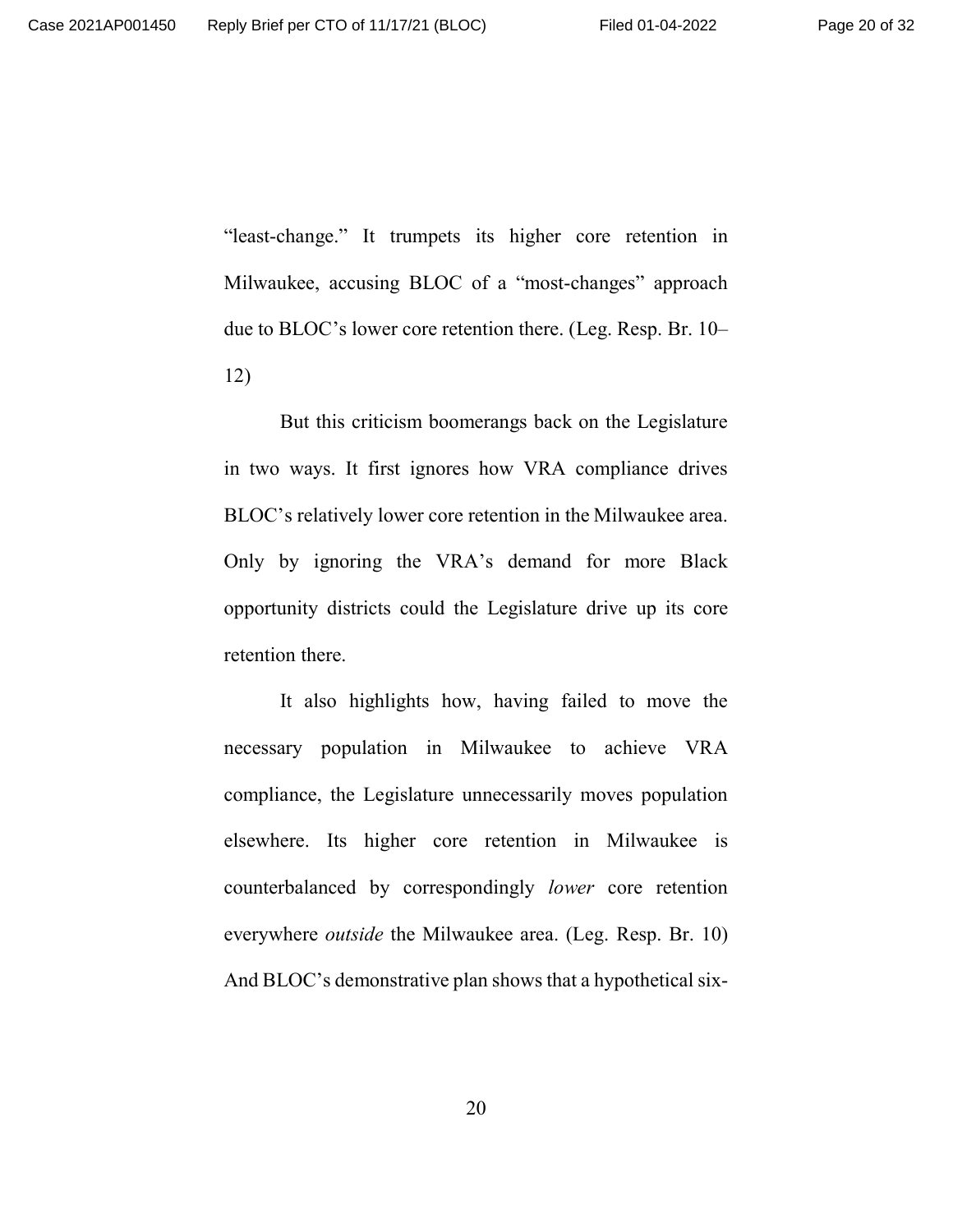"least-change." It trumpets its higher core retention in Milwaukee, accusing BLOC of a "most-changes" approach due to BLOC's lower core retention there. (Leg. Resp. Br. 10– 12)

But this criticism boomerangs back on the Legislature in two ways. It first ignores how VRA compliance drives BLOC's relatively lower core retention in the Milwaukee area. Only by ignoring the VRA's demand for more Black opportunity districts could the Legislature drive up its core retention there.

It also highlights how, having failed to move the necessary population in Milwaukee to achieve VRA compliance, the Legislature unnecessarily moves population elsewhere. Its higher core retention in Milwaukee is counterbalanced by correspondingly *lower* core retention everywhere *outside* the Milwaukee area. (Leg. Resp. Br. 10) And BLOC's demonstrative plan shows that a hypothetical six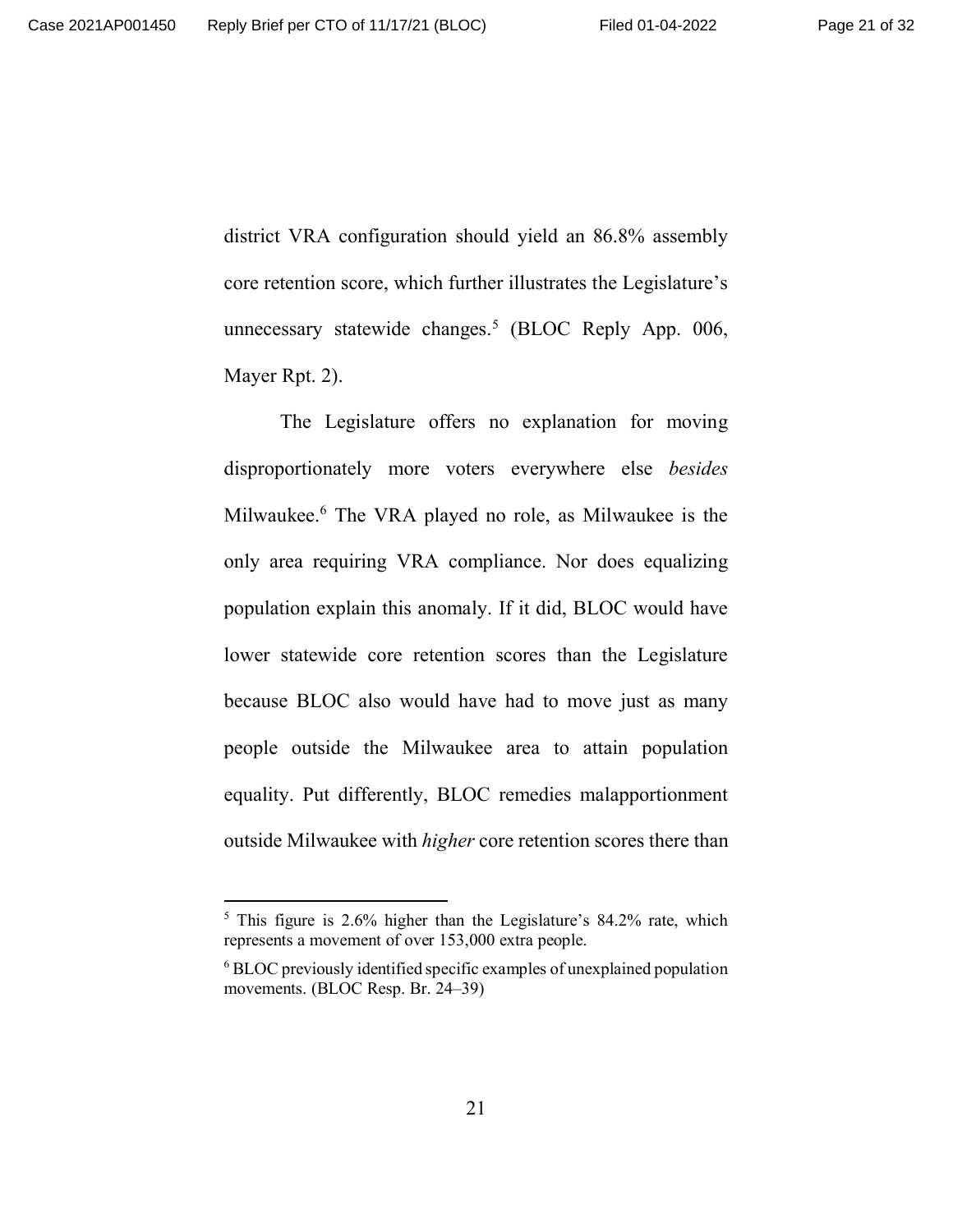district VRA configuration should yield an 86.8% assembly core retention score, which further illustrates the Legislature's unnecessary statewide changes.<sup>5</sup> (BLOC Reply App. 006, Mayer Rpt. 2).

The Legislature offers no explanation for moving disproportionately more voters everywhere else *besides* Milwaukee.<sup>6</sup> The VRA played no role, as Milwaukee is the only area requiring VRA compliance. Nor does equalizing population explain this anomaly. If it did, BLOC would have lower statewide core retention scores than the Legislature because BLOC also would have had to move just as many people outside the Milwaukee area to attain population equality. Put differently, BLOC remedies malapportionment outside Milwaukee with *higher* core retention scores there than

<sup>&</sup>lt;sup>5</sup> This figure is 2.6% higher than the Legislature's 84.2% rate, which represents a movement of over 153,000 extra people.

 $6$  BLOC previously identified specific examples of unexplained population movements. (BLOC Resp. Br. 24–39)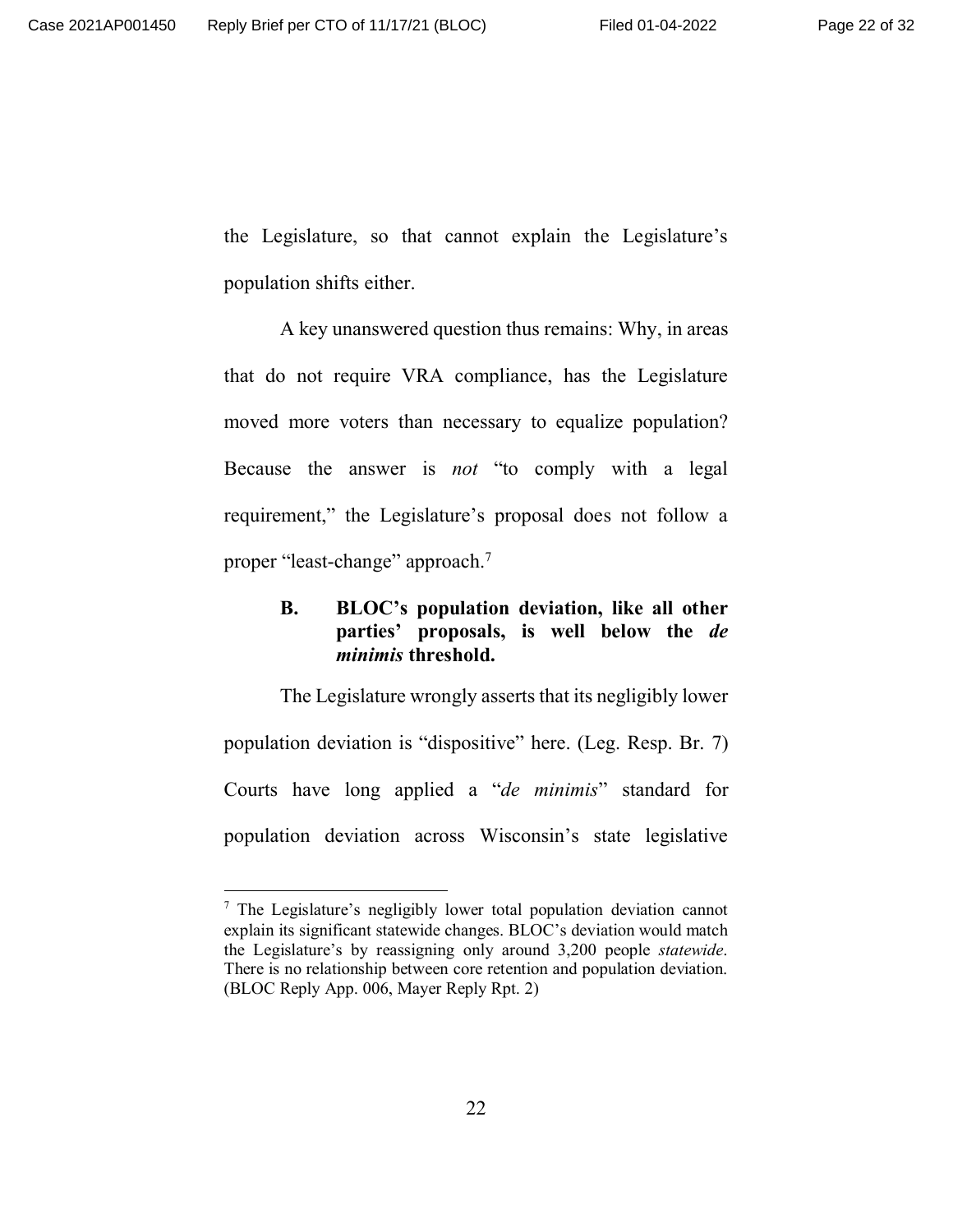the Legislature, so that cannot explain the Legislature's population shifts either.

A key unanswered question thus remains: Why, in areas that do not require VRA compliance, has the Legislature moved more voters than necessary to equalize population? Because the answer is *not* "to comply with a legal requirement," the Legislature's proposal does not follow a proper "least-change" approach.<sup>7</sup>

## **B. BLOC's population deviation, like all other parties' proposals, is well below the** *de minimis* **threshold.**

The Legislature wrongly asserts that its negligibly lower population deviation is "dispositive" here. (Leg. Resp. Br. 7) Courts have long applied a "*de minimis*" standard for population deviation across Wisconsin's state legislative

<sup>&</sup>lt;sup>7</sup> The Legislature's negligibly lower total population deviation cannot explain its significant statewide changes. BLOC's deviation would match the Legislature's by reassigning only around 3,200 people *statewide*. There is no relationship between core retention and population deviation. (BLOC Reply App. 006, Mayer Reply Rpt. 2)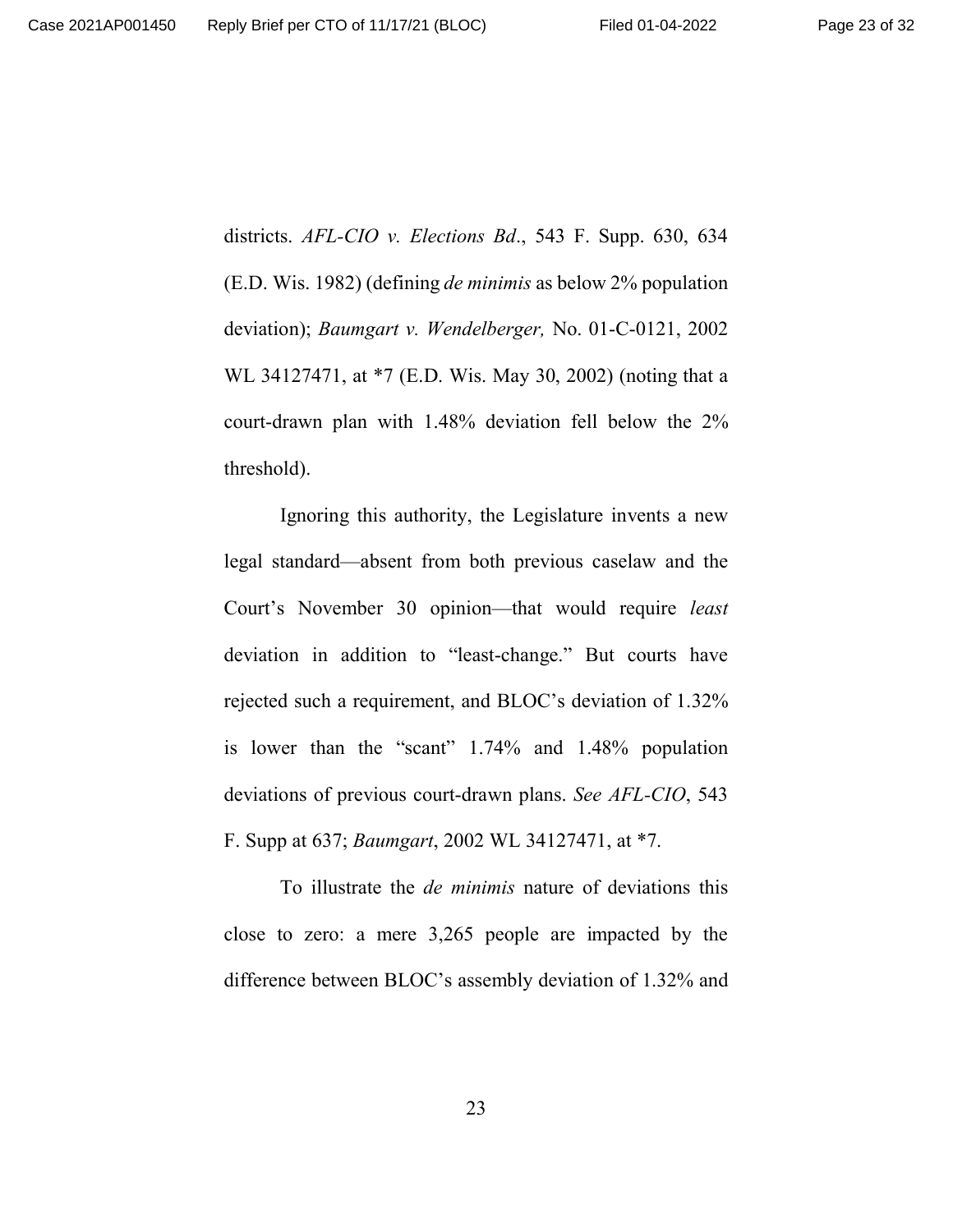districts. *AFL-CIO v. Elections Bd*., 543 F. Supp. 630, 634 (E.D. Wis. 1982) (defining *de minimis* as below 2% population deviation); *Baumgart v. Wendelberger,* No. 01-C-0121, 2002 WL 34127471, at \*7 (E.D. Wis. May 30, 2002) (noting that a court-drawn plan with 1.48% deviation fell below the 2% threshold).

Ignoring this authority, the Legislature invents a new legal standard—absent from both previous caselaw and the Court's November 30 opinion—that would require *least* deviation in addition to "least-change." But courts have rejected such a requirement, and BLOC's deviation of 1.32% is lower than the "scant" 1.74% and 1.48% population deviations of previous court-drawn plans. *See AFL-CIO*, 543 F. Supp at 637; *Baumgart*, 2002 WL 34127471, at \*7.

To illustrate the *de minimis* nature of deviations this close to zero: a mere 3,265 people are impacted by the difference between BLOC's assembly deviation of 1.32% and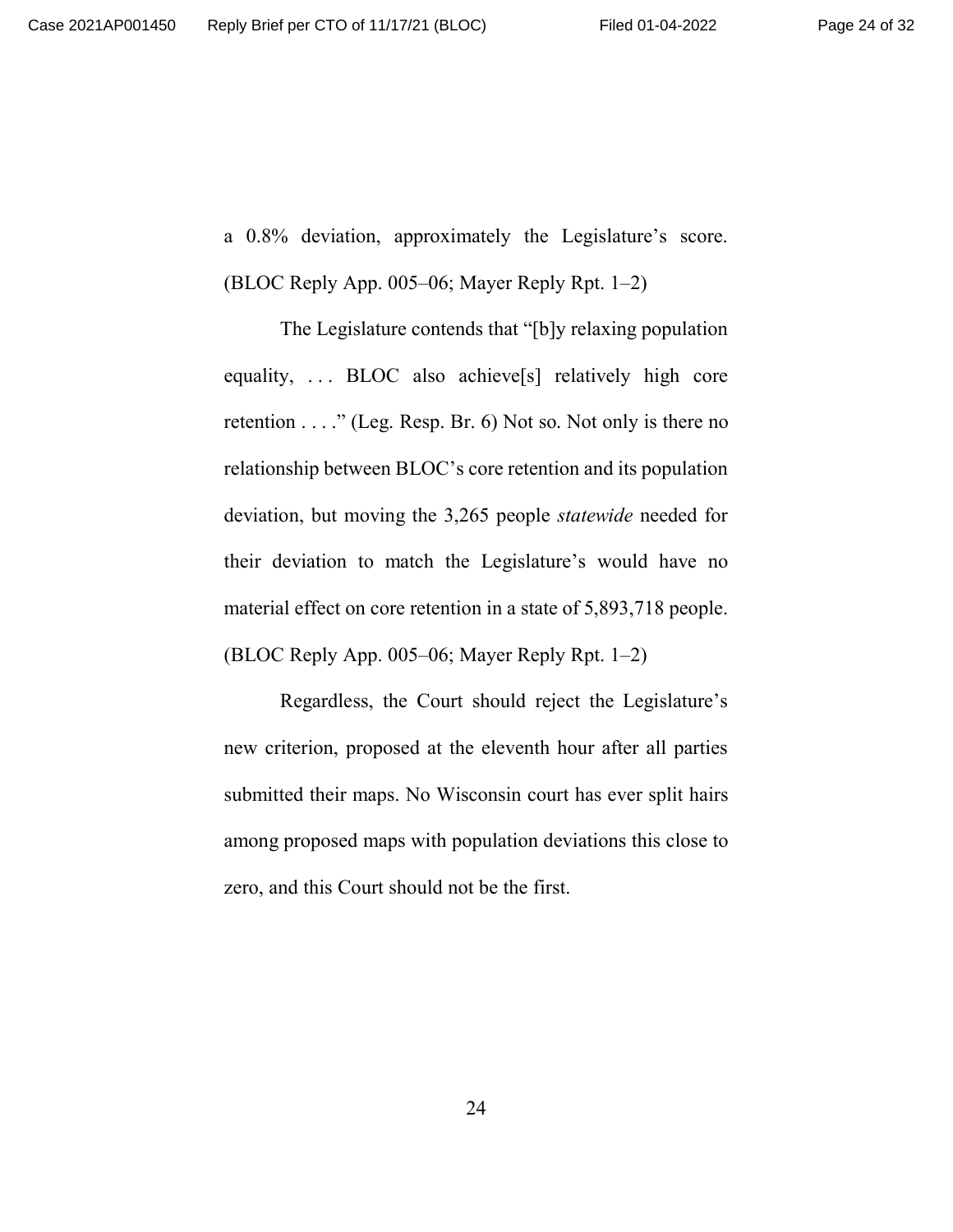a 0.8% deviation, approximately the Legislature's score.

(BLOC Reply App. 005–06; Mayer Reply Rpt. 1–2)

The Legislature contends that "[b]y relaxing population equality, ... BLOC also achieve<sup>[s]</sup> relatively high core retention . . . ." (Leg. Resp. Br. 6) Not so. Not only is there no relationship between BLOC's core retention and its population deviation, but moving the 3,265 people *statewide* needed for their deviation to match the Legislature's would have no material effect on core retention in a state of 5,893,718 people. (BLOC Reply App. 005–06; Mayer Reply Rpt. 1–2)

Regardless, the Court should reject the Legislature's new criterion, proposed at the eleventh hour after all parties submitted their maps. No Wisconsin court has ever split hairs among proposed maps with population deviations this close to zero, and this Court should not be the first.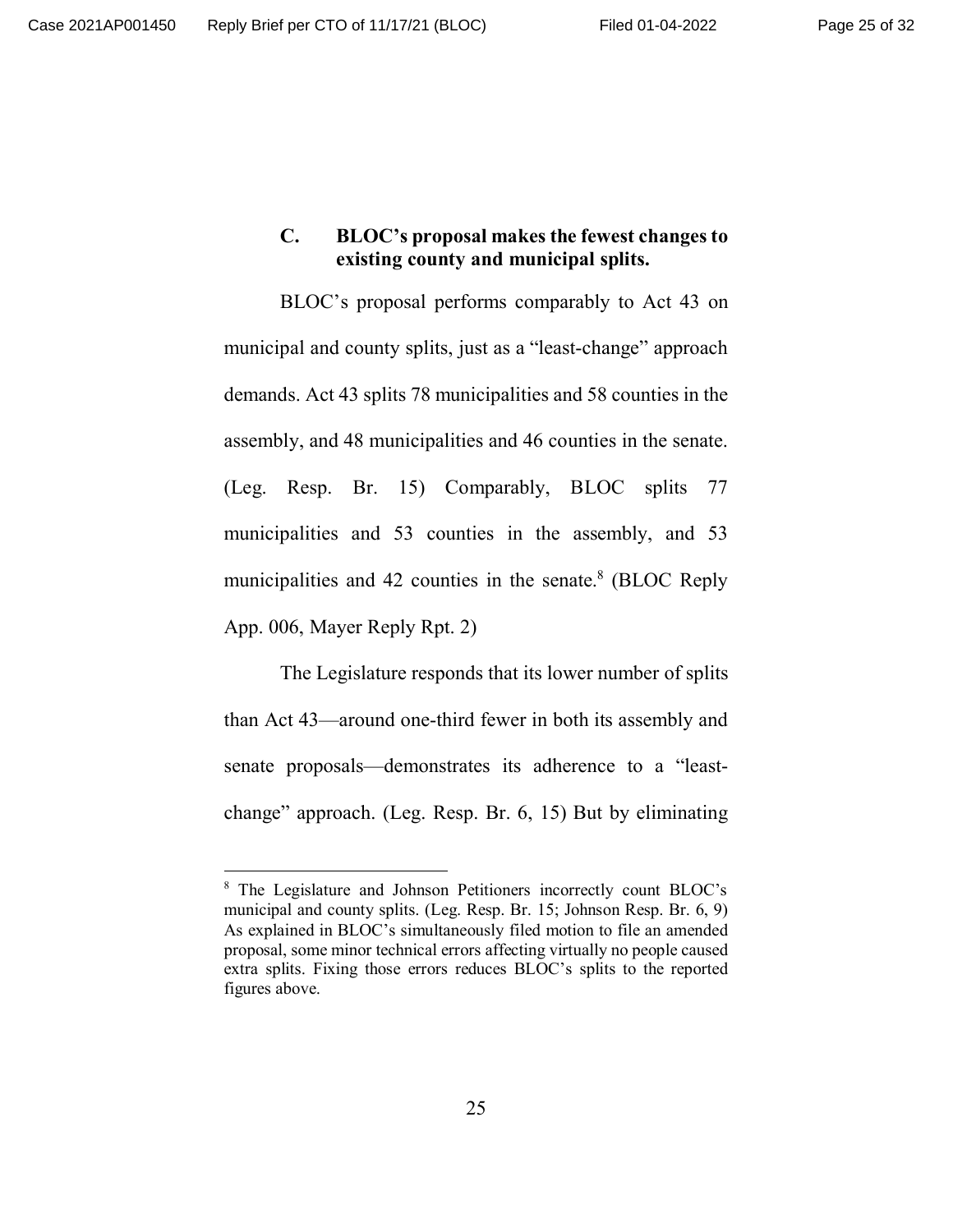# **C. BLOC's proposal makes the fewest changes to existing county and municipal splits.**

BLOC's proposal performs comparably to Act 43 on municipal and county splits, just as a "least-change" approach demands. Act 43 splits 78 municipalities and 58 counties in the assembly, and 48 municipalities and 46 counties in the senate. (Leg. Resp. Br. 15) Comparably, BLOC splits 77 municipalities and 53 counties in the assembly, and 53 municipalities and 42 counties in the senate.<sup>8</sup> (BLOC Reply App. 006, Mayer Reply Rpt. 2)

The Legislature responds that its lower number of splits than Act 43—around one-third fewer in both its assembly and senate proposals—demonstrates its adherence to a "leastchange" approach. (Leg. Resp. Br. 6, 15) But by eliminating

<sup>&</sup>lt;sup>8</sup> The Legislature and Johnson Petitioners incorrectly count BLOC's municipal and county splits. (Leg. Resp. Br. 15; Johnson Resp. Br. 6, 9) As explained in BLOC's simultaneously filed motion to file an amended proposal, some minor technical errors affecting virtually no people caused extra splits. Fixing those errors reduces BLOC's splits to the reported figures above.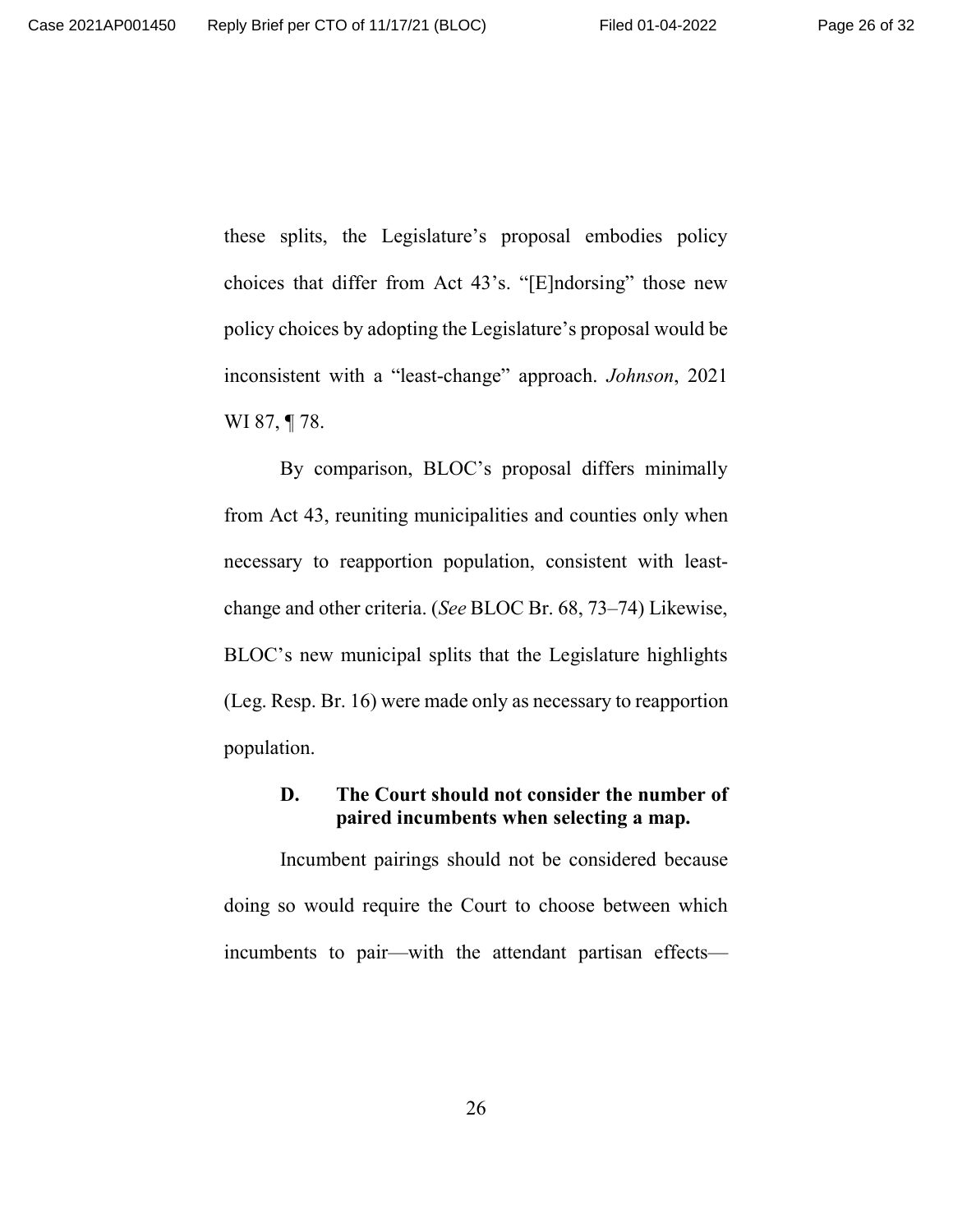these splits, the Legislature's proposal embodies policy choices that differ from Act 43's. "[E]ndorsing" those new policy choices by adopting the Legislature's proposal would be inconsistent with a "least-change" approach. *Johnson*, 2021 WI 87, ¶ 78.

By comparison, BLOC's proposal differs minimally from Act 43, reuniting municipalities and counties only when necessary to reapportion population, consistent with leastchange and other criteria. (*See* BLOC Br. 68, 73–74) Likewise, BLOC's new municipal splits that the Legislature highlights (Leg. Resp. Br. 16) were made only as necessary to reapportion population.

## **D. The Court should not consider the number of paired incumbents when selecting a map.**

Incumbent pairings should not be considered because doing so would require the Court to choose between which incumbents to pair—with the attendant partisan effects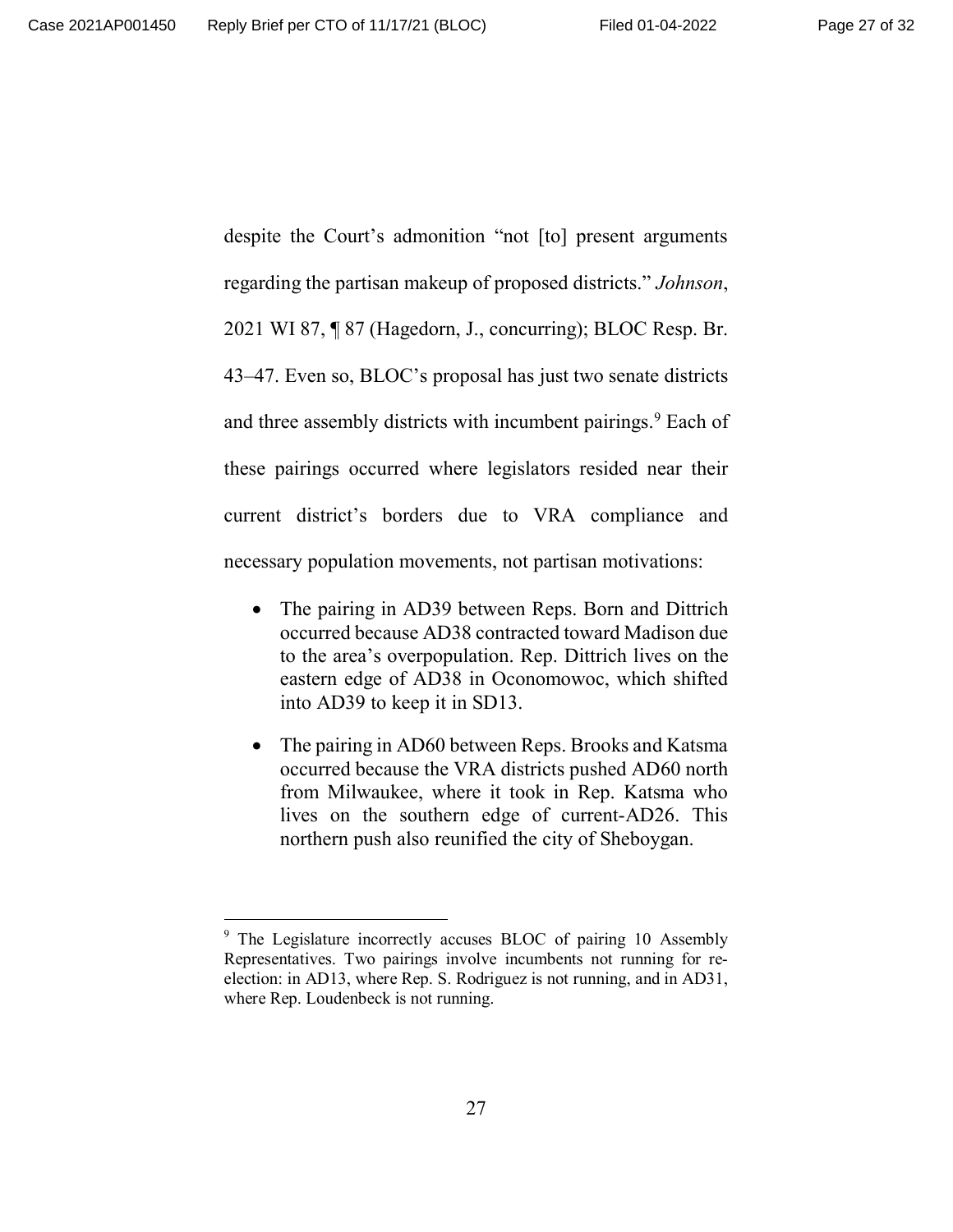despite the Court's admonition "not [to] present arguments regarding the partisan makeup of proposed districts." *Johnson*, 2021 WI 87, ¶ 87 (Hagedorn, J., concurring); BLOC Resp. Br. 43–47. Even so, BLOC's proposal has just two senate districts and three assembly districts with incumbent pairings.<sup>9</sup> Each of these pairings occurred where legislators resided near their current district's borders due to VRA compliance and necessary population movements, not partisan motivations:

- The pairing in AD39 between Reps. Born and Dittrich occurred because AD38 contracted toward Madison due to the area's overpopulation. Rep. Dittrich lives on the eastern edge of AD38 in Oconomowoc, which shifted into AD39 to keep it in SD13.
- The pairing in AD60 between Reps. Brooks and Katsma occurred because the VRA districts pushed AD60 north from Milwaukee, where it took in Rep. Katsma who lives on the southern edge of current-AD26. This northern push also reunified the city of Sheboygan.

<sup>&</sup>lt;sup>9</sup> The Legislature incorrectly accuses BLOC of pairing 10 Assembly Representatives. Two pairings involve incumbents not running for reelection: in AD13, where Rep. S. Rodriguez is not running, and in AD31, where Rep. Loudenbeck is not running.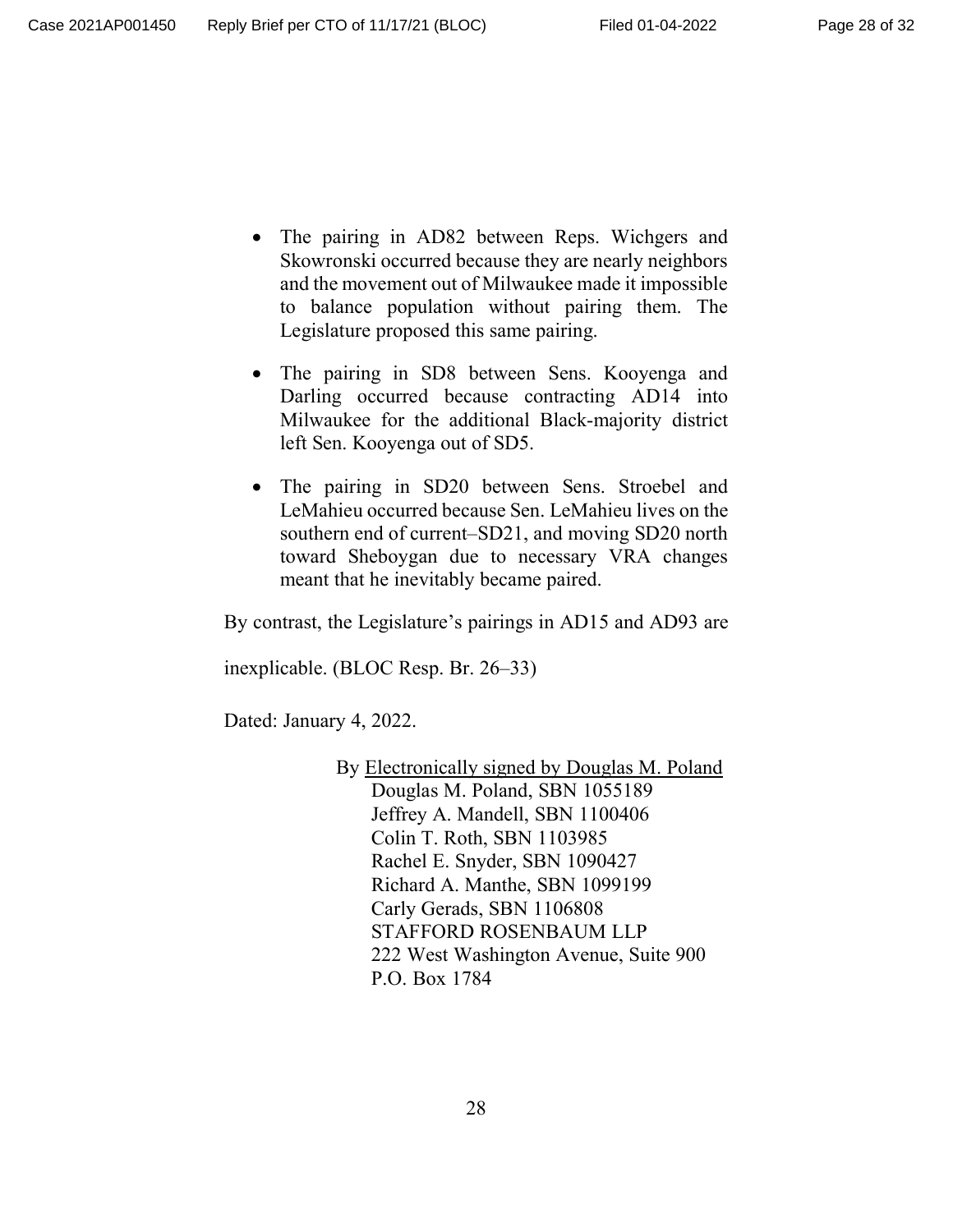- The pairing in AD82 between Reps. Wichgers and Skowronski occurred because they are nearly neighbors and the movement out of Milwaukee made it impossible to balance population without pairing them. The Legislature proposed this same pairing.
- The pairing in SD8 between Sens. Kooyenga and Darling occurred because contracting AD14 into Milwaukee for the additional Black-majority district left Sen. Kooyenga out of SD5.
- The pairing in SD20 between Sens. Stroebel and LeMahieu occurred because Sen. LeMahieu lives on the southern end of current–SD21, and moving SD20 north toward Sheboygan due to necessary VRA changes meant that he inevitably became paired.

By contrast, the Legislature's pairings in AD15 and AD93 are

inexplicable. (BLOC Resp. Br. 26–33)

Dated: January 4, 2022.

By Electronically signed by Douglas M. Poland Douglas M. Poland, SBN 1055189 Jeffrey A. Mandell, SBN 1100406 Colin T. Roth, SBN 1103985 Rachel E. Snyder, SBN 1090427 Richard A. Manthe, SBN 1099199 Carly Gerads, SBN 1106808 STAFFORD ROSENBAUM LLP 222 West Washington Avenue, Suite 900 P.O. Box 1784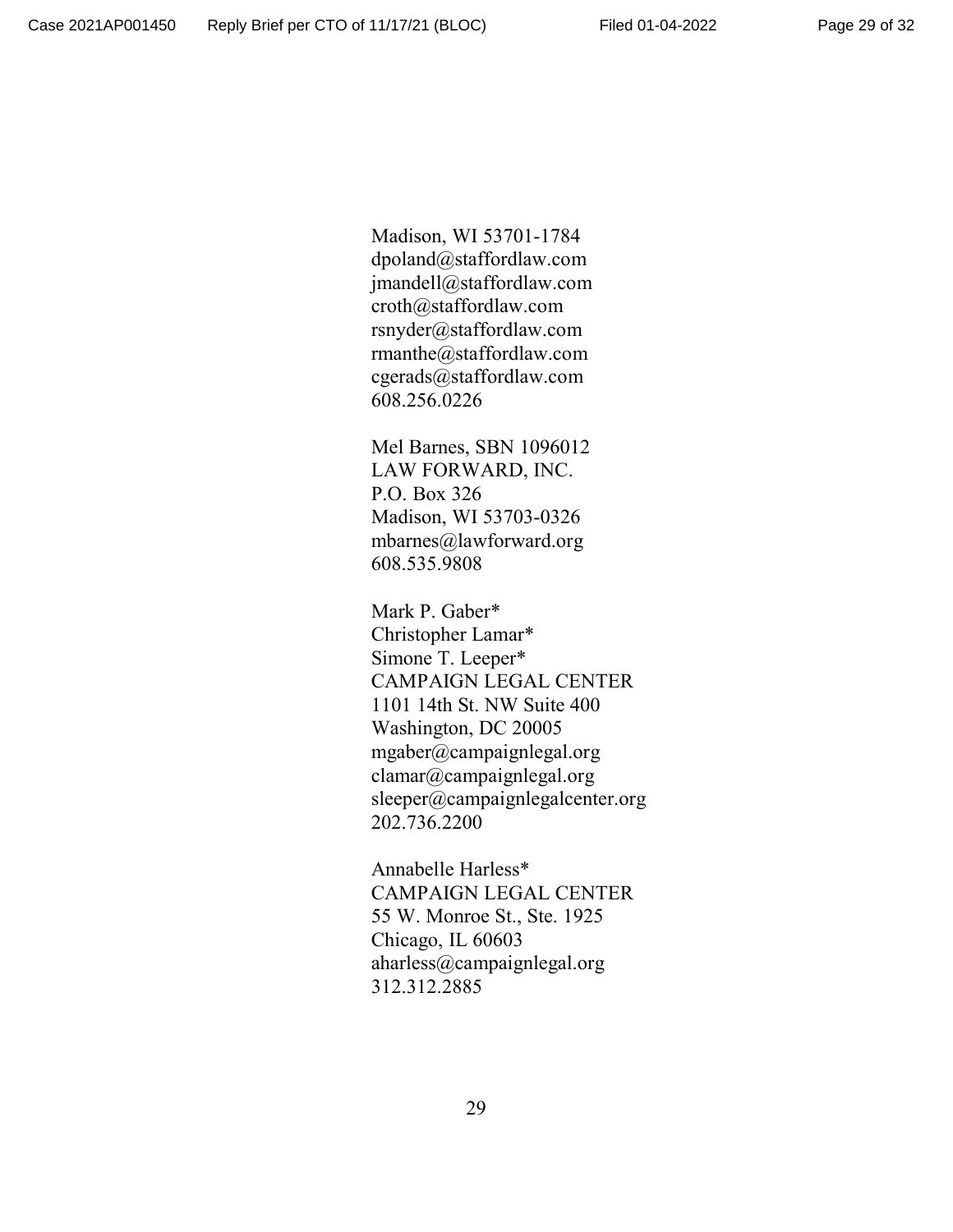Madison, WI 53701-1784 dpoland@staffordlaw.com jmandell@staffordlaw.com croth@staffordlaw.com rsnyder@staffordlaw.com rmanthe@staffordlaw.com cgerads@staffordlaw.com 608.256.0226

Mel Barnes, SBN 1096012 LAW FORWARD, INC. P.O. Box 326 Madison, WI 53703-0326 mbarnes@lawforward.org 608.535.9808

Mark P. Gaber\* Christopher Lamar\* Simone T. Leeper\* CAMPAIGN LEGAL CENTER 1101 14th St. NW Suite 400 Washington, DC 20005 mgaber@campaignlegal.org clamar@campaignlegal.org sleeper@campaignlegalcenter.org 202.736.2200

Annabelle Harless\* CAMPAIGN LEGAL CENTER 55 W. Monroe St., Ste. 1925 Chicago, IL 60603 aharless@campaignlegal.org 312.312.2885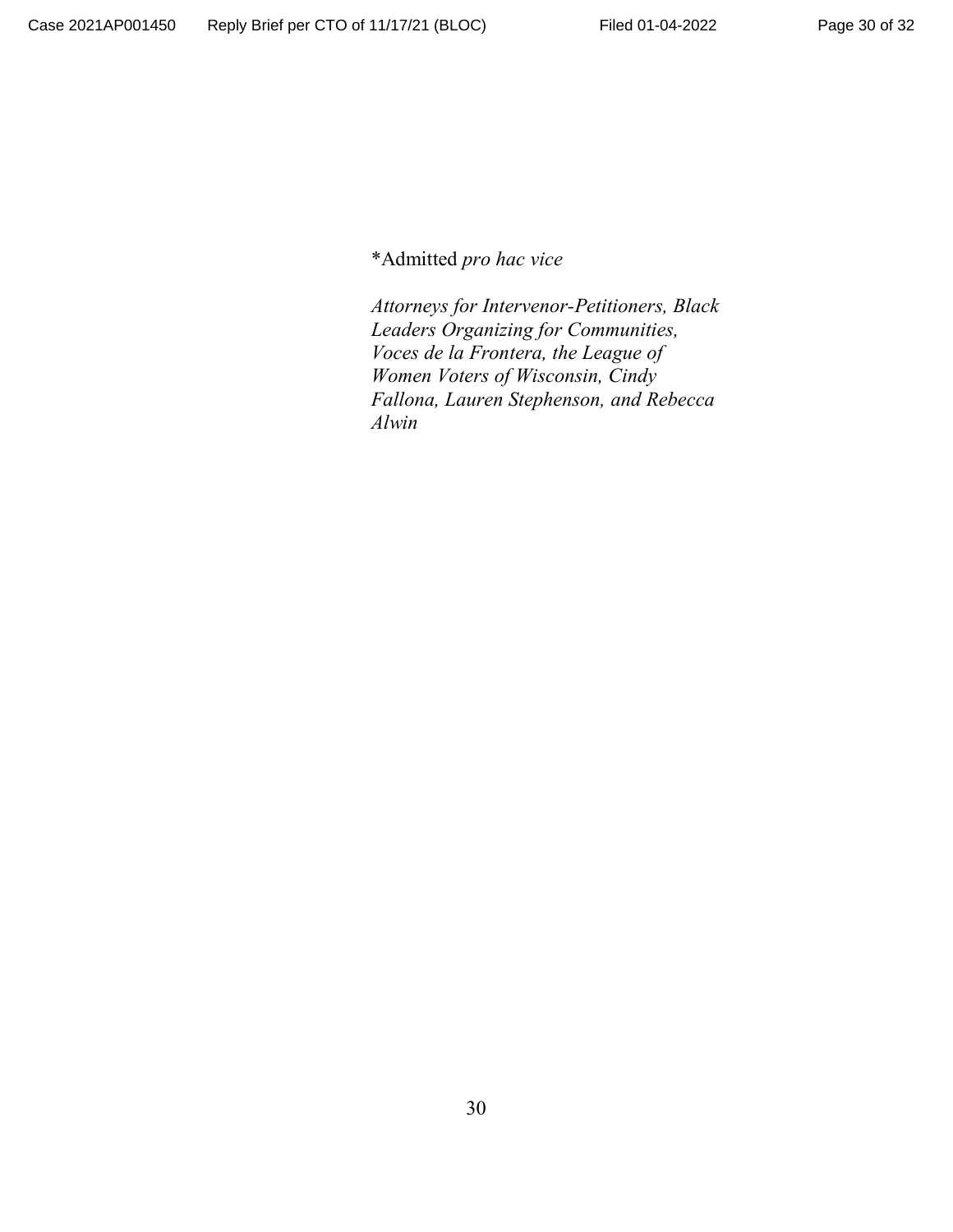\*Admitted *pro hac vice*

*Attorneys for Intervenor-Petitioners, Black Leaders Organizing for Communities, Voces de la Frontera, the League of Women Voters of Wisconsin, Cindy Fallona, Lauren Stephenson, and Rebecca Alwin*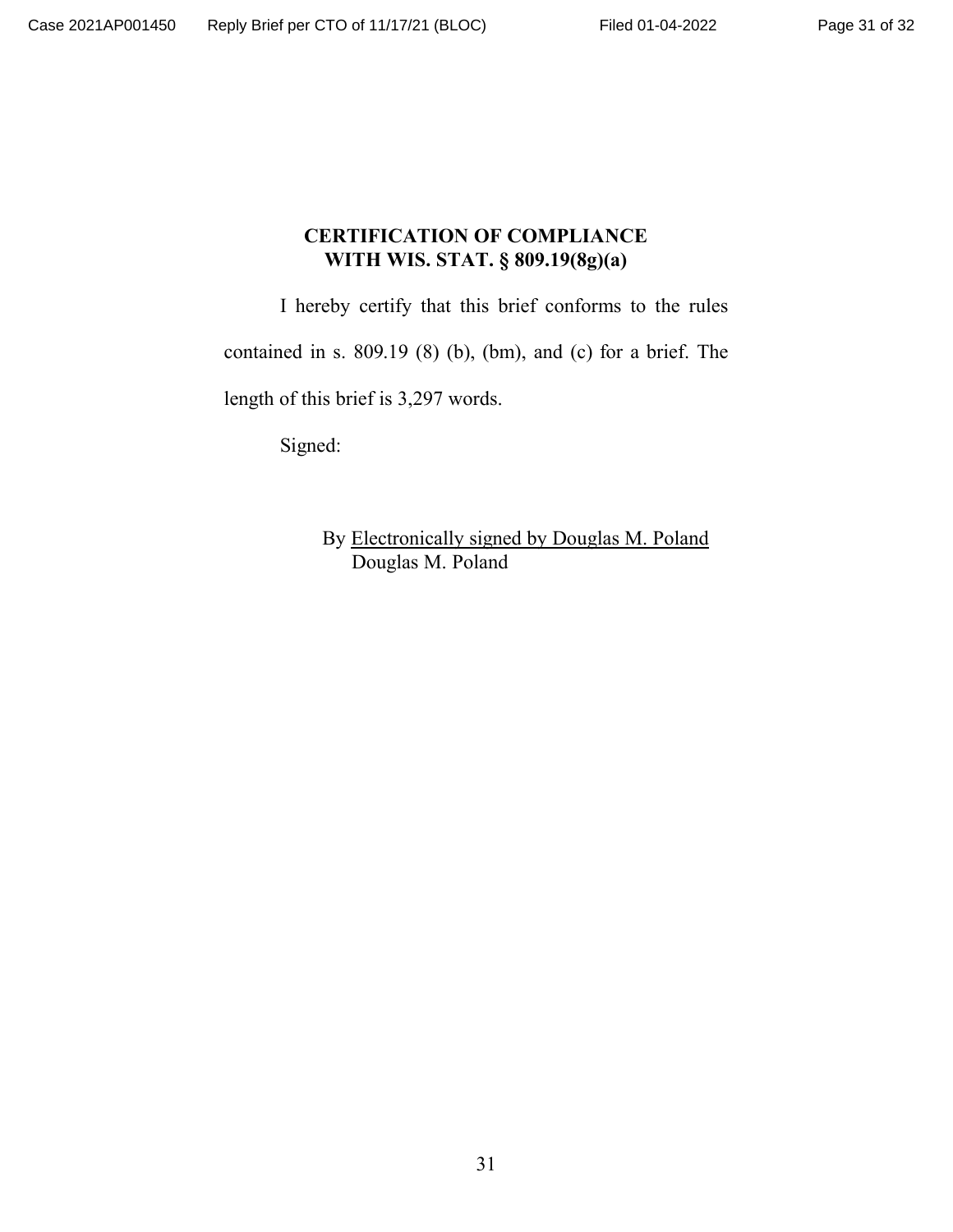# **CERTIFICATION OF COMPLIANCE WITH WIS. STAT. § 809.19(8g)(a)**

I hereby certify that this brief conforms to the rules

contained in s. 809.19 (8) (b), (bm), and (c) for a brief. The

length of this brief is 3,297 words.

Signed:

By Electronically signed by Douglas M. Poland Douglas M. Poland